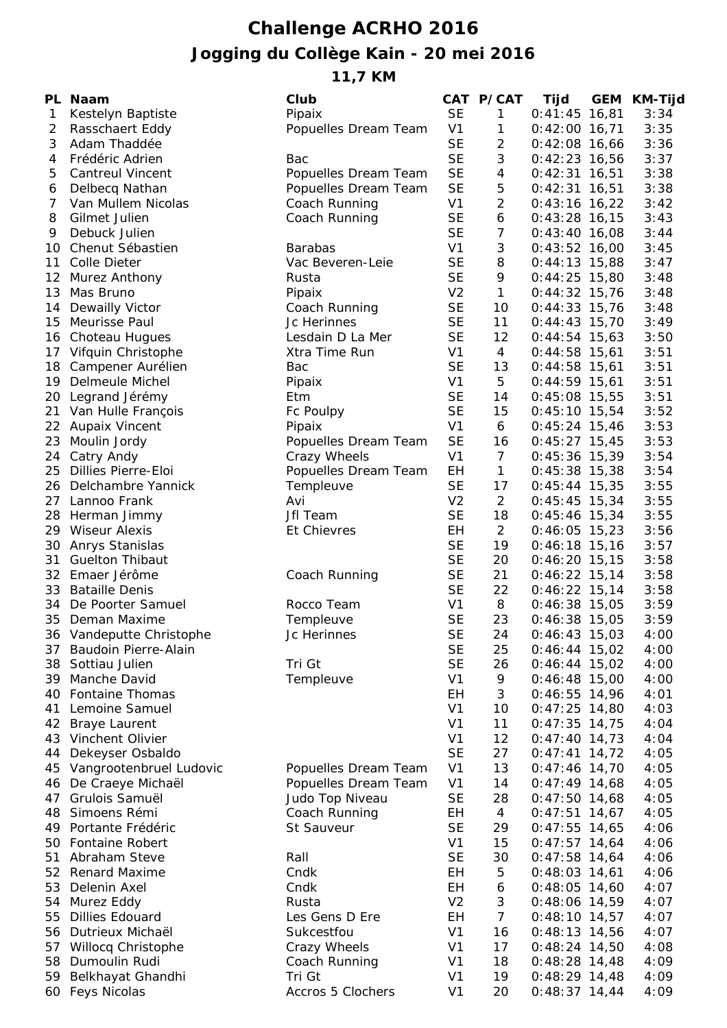## **Challenge ACRHO 2016 Jogging du Collège Kain - 20 mei 2016**

**11,7 KM**

| PL           | Naam                     | Club                 |                | CAT P/CAT        | Tijd            | <b>GEM</b> | KM-Tijd |
|--------------|--------------------------|----------------------|----------------|------------------|-----------------|------------|---------|
| $\mathbf{1}$ | Kestelyn Baptiste        | Pipaix               | <b>SE</b>      | $\mathbf{1}$     | $0:41:45$ 16,81 |            | 3:34    |
| 2            | Rasschaert Eddy          | Popuelles Dream Team | V <sub>1</sub> | $\mathbf{1}$     | $0:42:00$ 16,71 |            | 3:35    |
| 3            | Adam Thaddée             |                      | <b>SE</b>      | $\overline{2}$   | $0:42:08$ 16,66 |            | 3:36    |
| 4            | Frédéric Adrien          | Bac                  | <b>SE</b>      | $\sqrt{3}$       | $0:42:23$ 16,56 |            | 3:37    |
| 5            | <b>Cantreul Vincent</b>  | Popuelles Dream Team | <b>SE</b>      | $\overline{4}$   | $0:42:31$ 16,51 |            | 3:38    |
| 6            | Delbecq Nathan           | Popuelles Dream Team | <b>SE</b>      | 5                | $0:42:31$ 16,51 |            | 3:38    |
| 7            | Van Mullem Nicolas       | Coach Running        | V <sub>1</sub> | $\overline{2}$   | $0:43:16$ 16,22 |            | 3:42    |
| 8            | Gilmet Julien            | Coach Running        | <b>SE</b>      | $\boldsymbol{6}$ | $0:43:28$ 16,15 |            | 3:43    |
| 9            | Debuck Julien            |                      | <b>SE</b>      | $\overline{7}$   | $0:43:40$ 16,08 |            | 3:44    |
|              | 10 Chenut Sébastien      | <b>Barabas</b>       | V <sub>1</sub> | 3                | $0:43:52$ 16,00 |            | 3:45    |
| 11           | <b>Colle Dieter</b>      | Vac Beveren-Leie     | <b>SE</b>      | 8                | $0:44:13$ 15,88 |            | 3:47    |
| 12           | <b>Murez Anthony</b>     | Rusta                | <b>SE</b>      | 9                | $0:44:25$ 15,80 |            | 3:48    |
| 13           | Mas Bruno                | Pipaix               | V <sub>2</sub> | $\mathbf{1}$     | $0:44:32$ 15,76 |            | 3:48    |
| 14           | Dewailly Victor          | Coach Running        | <b>SE</b>      | 10               | $0:44:33$ 15,76 |            | 3:48    |
| 15           | Meurisse Paul            | Jc Herinnes          | <b>SE</b>      | 11               | $0:44:43$ 15,70 |            | 3:49    |
|              | 16 Choteau Hugues        | Lesdain D La Mer     | <b>SE</b>      | 12               | $0:44:54$ 15,63 |            | 3:50    |
|              | 17 Vifquin Christophe    | Xtra Time Run        | V <sub>1</sub> | 4                | $0:44:58$ 15,61 |            | 3:51    |
|              | 18 Campener Aurélien     | Bac                  | <b>SE</b>      | 13               | $0:44:58$ 15,61 |            | 3:51    |
| 19           | Delmeule Michel          | Pipaix               | V <sub>1</sub> | 5                | $0:44:59$ 15,61 |            | 3:51    |
|              |                          |                      | <b>SE</b>      |                  | $0:45:08$ 15,55 |            | 3:51    |
| 20           | Legrand Jérémy           | Etm                  |                | 14               |                 |            |         |
| 21           | Van Hulle François       | Fc Poulpy            | <b>SE</b>      | 15               | $0:45:10$ 15,54 |            | 3:52    |
|              | 22 Aupaix Vincent        | Pipaix               | V <sub>1</sub> | 6                | $0:45:24$ 15,46 |            | 3:53    |
| 23           | Moulin Jordy             | Popuelles Dream Team | <b>SE</b>      | 16               | $0:45:27$ 15,45 |            | 3:53    |
|              | 24 Catry Andy            | Crazy Wheels         | V <sub>1</sub> | $\overline{7}$   | $0:45:36$ 15,39 |            | 3:54    |
|              | 25 Dillies Pierre-Eloi   | Popuelles Dream Team | EH             | $\mathbf{1}$     | $0:45:38$ 15,38 |            | 3:54    |
|              | 26 Delchambre Yannick    | Templeuve            | <b>SE</b>      | 17               | $0:45:44$ 15,35 |            | 3:55    |
|              | 27 Lannoo Frank          | Avi                  | V <sub>2</sub> | 2                | $0:45:45$ 15,34 |            | 3:55    |
|              | 28 Herman Jimmy          | Jfl Team             | <b>SE</b>      | 18               | $0:45:46$ 15,34 |            | 3:55    |
|              | 29 Wiseur Alexis         | <b>Et Chievres</b>   | EH             | $\overline{2}$   | $0:46:05$ 15,23 |            | 3:56    |
|              | 30 Anrys Stanislas       |                      | <b>SE</b>      | 19               | $0:46:18$ 15,16 |            | 3:57    |
| 31           | <b>Guelton Thibaut</b>   |                      | <b>SE</b>      | 20               | $0:46:20$ 15,15 |            | 3:58    |
|              | 32 Emaer Jérôme          | Coach Running        | <b>SE</b>      | 21               | $0:46:22$ 15,14 |            | 3:58    |
|              | 33 Bataille Denis        |                      | <b>SE</b>      | 22               | $0:46:22$ 15,14 |            | 3:58    |
|              | 34 De Poorter Samuel     | Rocco Team           | V <sub>1</sub> | 8                | $0:46:38$ 15,05 |            | 3:59    |
|              | 35 Deman Maxime          | Templeuve            | <b>SE</b>      | 23               | $0:46:38$ 15,05 |            | 3:59    |
|              | 36 Vandeputte Christophe | Jc Herinnes          | <b>SE</b>      | 24               | $0:46:43$ 15,03 |            | 4:00    |
| 37           | Baudoin Pierre-Alain     |                      | <b>SE</b>      | 25               | $0:46:44$ 15,02 |            | 4:00    |
| 38           | Sottiau Julien           | Tri Gt               | <b>SE</b>      | 26               | $0:46:44$ 15,02 |            | 4:00    |
| 39           | Manche David             | Templeuve            | V <sub>1</sub> | 9                | $0:46:48$ 15,00 |            | 4:00    |
|              | 40 Fontaine Thomas       |                      | EH             | 3                | $0:46:55$ 14,96 |            | 4:01    |
| 41           | Lemoine Samuel           |                      | V <sub>1</sub> | 10               | $0:47:25$ 14,80 |            | 4:03    |
| 42           | <b>Braye Laurent</b>     |                      | V <sub>1</sub> | 11               | $0:47:35$ 14,75 |            | 4:04    |
| 43           | Vinchent Olivier         |                      | V <sub>1</sub> | 12               | $0:47:40$ 14,73 |            | 4:04    |
| 44           | Dekeyser Osbaldo         |                      | <b>SE</b>      | 27               | $0:47:41$ 14,72 |            | 4:05    |
| 45           | Vangrootenbruel Ludovic  | Popuelles Dream Team | V <sub>1</sub> | 13               | $0:47:46$ 14,70 |            | 4:05    |
| 46           | De Craeye Michaël        | Popuelles Dream Team | V <sub>1</sub> | 14               | $0:47:49$ 14,68 |            | 4:05    |
| 47           | Grulois Samuël           | Judo Top Niveau      | <b>SE</b>      | 28               | $0:47:50$ 14,68 |            | 4:05    |
| 48           | Simoens Rémi             | Coach Running        | EH             | $\overline{4}$   | $0:47:51$ 14,67 |            | 4:05    |
| 49           | Portante Frédéric        | St Sauveur           | <b>SE</b>      | 29               | $0:47:55$ 14,65 |            | 4:06    |
| 50           | <b>Fontaine Robert</b>   |                      | V <sub>1</sub> | 15               | $0:47:57$ 14,64 |            | 4:06    |
| 51           | Abraham Steve            | Rall                 | <b>SE</b>      | 30               | $0:47:58$ 14,64 |            | 4:06    |
| 52           | <b>Renard Maxime</b>     | Cndk                 | EH             | 5                | $0:48:03$ 14,61 |            | 4:06    |
| 53           | Delenin Axel             | Cndk                 | EH             | 6                | $0:48:05$ 14,60 |            | 4:07    |
| 54           | Murez Eddy               | Rusta                | V <sub>2</sub> | 3                | $0:48:06$ 14,59 |            | 4:07    |
| 55           | <b>Dillies Edouard</b>   | Les Gens D Ere       | EH             | $\overline{7}$   | $0:48:10$ 14,57 |            | 4:07    |
| 56           | Dutrieux Michaël         | Sukcestfou           | V <sub>1</sub> | 16               | $0:48:13$ 14,56 |            | 4:07    |
| 57           | Willocq Christophe       | Crazy Wheels         | V <sub>1</sub> | 17               | $0:48:24$ 14,50 |            | 4:08    |
| 58           | Dumoulin Rudi            | Coach Running        | V <sub>1</sub> | 18               | $0:48:28$ 14,48 |            | 4:09    |
| 59           |                          | Tri Gt               | V <sub>1</sub> | 19               | $0:48:29$ 14,48 |            | 4:09    |
|              | Belkhayat Ghandhi        |                      |                |                  |                 |            |         |
|              | 60 Feys Nicolas          | Accros 5 Clochers    | V <sub>1</sub> | 20               | $0:48:37$ 14,44 |            | 4:09    |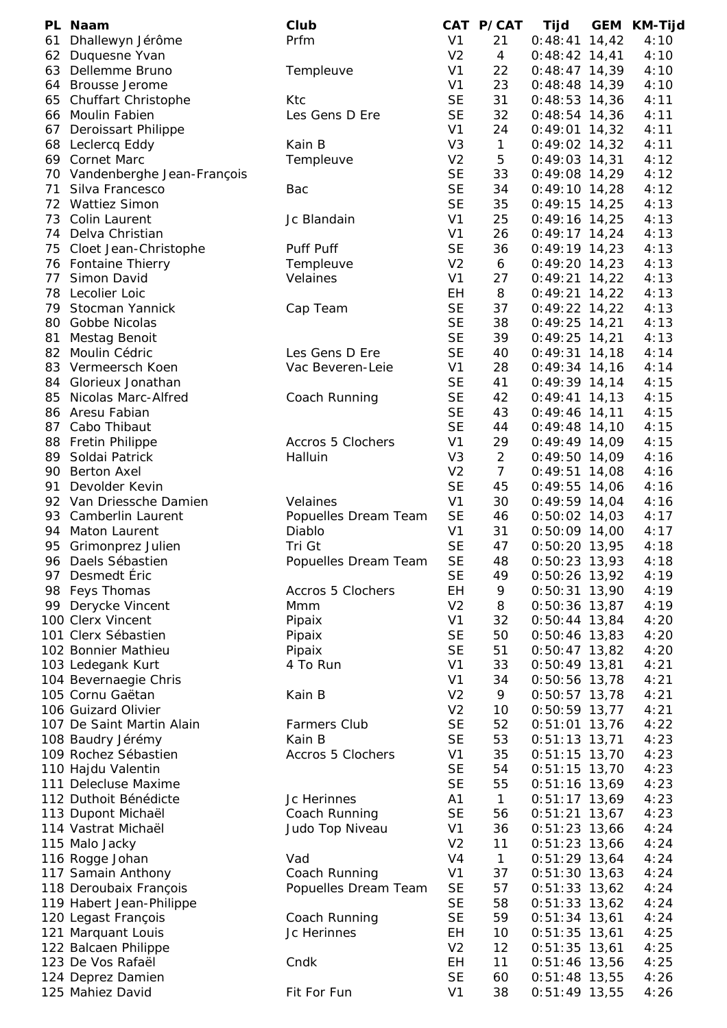|     | PL Naam                                    | Club                     |                | CAT P/CAT      | Tijd            | GEM | KM-Tijd |
|-----|--------------------------------------------|--------------------------|----------------|----------------|-----------------|-----|---------|
| 61  | Dhallewyn Jérôme                           | Prfm                     | V <sub>1</sub> | 21             | $0:48:41$ 14,42 |     | 4:10    |
|     | 62 Duquesne Yvan                           |                          | V <sub>2</sub> | $\overline{4}$ | $0:48:42$ 14,41 |     | 4:10    |
|     | 63 Dellemme Bruno                          | Templeuve                | V <sub>1</sub> | 22             | $0:48:47$ 14,39 |     | 4:10    |
|     | 64 Brousse Jerome                          |                          | V <sub>1</sub> | 23             | $0:48:48$ 14,39 |     | 4:10    |
|     | 65 Chuffart Christophe                     | Ktc                      | <b>SE</b>      | 31             | $0:48:53$ 14,36 |     | 4:11    |
|     | 66 Moulin Fabien                           | Les Gens D Ere           | <b>SE</b>      | 32             | $0:48:54$ 14,36 |     | 4:11    |
|     | 67 Deroissart Philippe                     |                          | V <sub>1</sub> | 24             | $0:49:01$ 14,32 |     | 4:11    |
|     | 68 Leclercq Eddy                           | Kain B                   | V <sub>3</sub> | $\mathbf{1}$   | $0:49:02$ 14,32 |     | 4:11    |
|     | 69 Cornet Marc                             | Templeuve                | V <sub>2</sub> | $\mathbf 5$    | $0:49:03$ 14,31 |     | 4:12    |
|     | 70 Vandenberghe Jean-François              |                          | <b>SE</b>      | 33             | $0:49:08$ 14,29 |     | 4:12    |
| 71  | Silva Francesco                            | Bac                      | <b>SE</b>      | 34             | $0:49:10$ 14,28 |     | 4:12    |
|     | 72 Wattiez Simon                           |                          | <b>SE</b>      | 35             | $0:49:15$ 14,25 |     | 4:13    |
|     | 73 Colin Laurent                           | Jc Blandain              | V <sub>1</sub> | 25             | $0:49:16$ 14,25 |     | 4:13    |
|     | 74 Delva Christian                         |                          | V <sub>1</sub> | 26             | $0:49:17$ 14,24 |     | 4:13    |
|     | 75 Cloet Jean-Christophe                   | Puff Puff                | <b>SE</b>      | 36             | $0:49:19$ 14,23 |     | 4:13    |
|     | 76 Fontaine Thierry                        | Templeuve                | V <sub>2</sub> | 6              | $0:49:20$ 14,23 |     | 4:13    |
| 77  | Simon David                                | Velaines                 | V <sub>1</sub> | 27             | $0:49:21$ 14,22 |     | 4:13    |
| 78  | Lecolier Loic                              |                          | EH             | 8              | $0:49:21$ 14,22 |     | 4:13    |
| 79  | Stocman Yannick                            | Cap Team                 | <b>SE</b>      | 37             | $0:49:22$ 14,22 |     | 4:13    |
| 80  | Gobbe Nicolas                              |                          | <b>SE</b>      | 38             | $0:49:25$ 14,21 |     | 4:13    |
| 81  | Mestag Benoit                              |                          | <b>SE</b>      | 39             | $0:49:25$ 14,21 |     | 4:13    |
| 82  | Moulin Cédric                              | Les Gens D Ere           | <b>SE</b>      | 40             | $0:49:31$ 14,18 |     | 4:14    |
|     | 83 Vermeersch Koen                         | Vac Beveren-Leie         | V <sub>1</sub> | 28             | $0:49:34$ 14,16 |     | 4:14    |
|     | 84 Glorieux Jonathan                       |                          | <b>SE</b>      | 41             | $0:49:39$ 14,14 |     | 4:15    |
| 85  | Nicolas Marc-Alfred                        | Coach Running            | <b>SE</b>      | 42             | $0:49:41$ 14,13 |     | 4:15    |
|     | 86 Aresu Fabian                            |                          | <b>SE</b>      | 43             | $0:49:46$ 14,11 |     | 4:15    |
| 87  | Cabo Thibaut                               |                          | <b>SE</b>      | 44             | $0:49:48$ 14,10 |     | 4:15    |
|     | 88 Fretin Philippe                         | Accros 5 Clochers        | V <sub>1</sub> | 29             | $0:49:49$ 14,09 |     | 4:15    |
| 89  | Soldai Patrick                             | Halluin                  | V <sub>3</sub> | 2              | $0:49:50$ 14,09 |     | 4:16    |
|     | 90 Berton Axel                             |                          | V <sub>2</sub> | $\overline{7}$ | $0:49:51$ 14,08 |     | 4:16    |
| 91  | Devolder Kevin                             |                          | <b>SE</b>      | 45             | $0:49:55$ 14,06 |     | 4:16    |
|     | 92 Van Driessche Damien                    | Velaines                 | V <sub>1</sub> | 30             | $0:49:59$ 14,04 |     | 4:16    |
|     | 93 Camberlin Laurent                       | Popuelles Dream Team     | <b>SE</b>      | 46             | $0:50:02$ 14,03 |     | 4:17    |
| 94. | Maton Laurent                              | Diablo                   | V <sub>1</sub> | 31             | $0:50:09$ 14,00 |     | 4:17    |
| 95  | Grimonprez Julien                          | Tri Gt                   | <b>SE</b>      | 47             | $0:50:20$ 13,95 |     | 4:18    |
|     | 96 Daels Sébastien                         | Popuelles Dream Team     | <b>SE</b>      | 48             | $0:50:23$ 13,93 |     | 4:18    |
|     | 97 Desmedt Éric                            |                          | <b>SE</b>      | 49             | 0:50:26 13,92   |     | 4:19    |
|     | 98 Feys Thomas                             | <b>Accros 5 Clochers</b> | EH             | 9              | $0:50:31$ 13,90 |     | 4:19    |
|     | 99 Derycke Vincent                         | Mmm                      | V <sub>2</sub> | 8              | $0:50:36$ 13,87 |     | 4:19    |
|     | 100 Clerx Vincent                          | Pipaix                   | V <sub>1</sub> | 32             | $0:50:44$ 13,84 |     | 4:20    |
|     | 101 Clerx Sébastien                        | Pipaix                   | <b>SE</b>      | 50             | $0:50:46$ 13,83 |     | 4:20    |
|     | 102 Bonnier Mathieu                        | Pipaix                   | <b>SE</b>      | 51             | $0:50:47$ 13,82 |     | 4:20    |
|     |                                            | 4 To Run                 | V <sub>1</sub> | 33             | $0:50:49$ 13,81 |     | 4:21    |
|     | 103 Ledegank Kurt<br>104 Bevernaegie Chris |                          | V <sub>1</sub> | 34             | $0:50:56$ 13,78 |     | 4:21    |
|     | 105 Cornu Gaëtan                           | Kain B                   | V <sub>2</sub> | 9              | $0:50:57$ 13,78 |     | 4:21    |
|     | 106 Guizard Olivier                        |                          | V <sub>2</sub> | 10             | $0:50:59$ 13,77 |     | 4:21    |
|     | 107 De Saint Martin Alain                  | <b>Farmers Club</b>      | <b>SE</b>      | 52             | $0:51:01$ 13,76 |     | 4:22    |
|     | 108 Baudry Jérémy                          | Kain B                   | <b>SE</b>      | 53             | $0:51:13$ 13,71 |     | 4:23    |
|     | 109 Rochez Sébastien                       | Accros 5 Clochers        | V <sub>1</sub> | 35             |                 |     | 4:23    |
|     |                                            |                          | <b>SE</b>      | 54             | $0:51:15$ 13,70 |     | 4:23    |
|     | 110 Hajdu Valentin                         |                          | <b>SE</b>      |                | $0:51:15$ 13,70 |     |         |
|     | 111 Delecluse Maxime                       |                          |                | 55             | $0:51:16$ 13,69 |     | 4:23    |
|     | 112 Duthoit Bénédicte                      | Jc Herinnes              | A <sub>1</sub> | $\mathbf{1}$   | $0:51:17$ 13,69 |     | 4:23    |
|     | 113 Dupont Michaël                         | Coach Running            | <b>SE</b>      | 56             | $0:51:21$ 13,67 |     | 4:23    |
|     | 114 Vastrat Michaël                        | Judo Top Niveau          | V <sub>1</sub> | 36             | $0:51:23$ 13,66 |     | 4:24    |
|     | 115 Malo Jacky                             |                          | V <sub>2</sub> | 11             | $0:51:23$ 13,66 |     | 4:24    |
|     | 116 Rogge Johan                            | Vad                      | V4             | $\mathbf{1}$   | $0:51:29$ 13,64 |     | 4:24    |
|     | 117 Samain Anthony                         | Coach Running            | V <sub>1</sub> | 37             | $0:51:30$ 13,63 |     | 4:24    |
|     | 118 Deroubaix François                     | Popuelles Dream Team     | <b>SE</b>      | 57             | $0:51:33$ 13,62 |     | 4:24    |
|     | 119 Habert Jean-Philippe                   |                          | <b>SE</b>      | 58             | $0:51:33$ 13,62 |     | 4:24    |
|     | 120 Legast François                        | Coach Running            | <b>SE</b>      | 59             | $0:51:34$ 13,61 |     | 4:24    |
|     | 121 Marquant Louis                         | Jc Herinnes              | EH             | 10             | $0:51:35$ 13,61 |     | 4:25    |
|     | 122 Balcaen Philippe                       |                          | V <sub>2</sub> | 12             | $0:51:35$ 13,61 |     | 4:25    |
|     | 123 De Vos Rafaël                          | Cndk                     | EH             | 11             | $0:51:46$ 13,56 |     | 4:25    |
|     | 124 Deprez Damien                          |                          | <b>SE</b>      | 60             | $0:51:48$ 13,55 |     | 4:26    |
|     | 125 Mahiez David                           | Fit For Fun              | V <sub>1</sub> | 38             | $0:51:49$ 13,55 |     | 4:26    |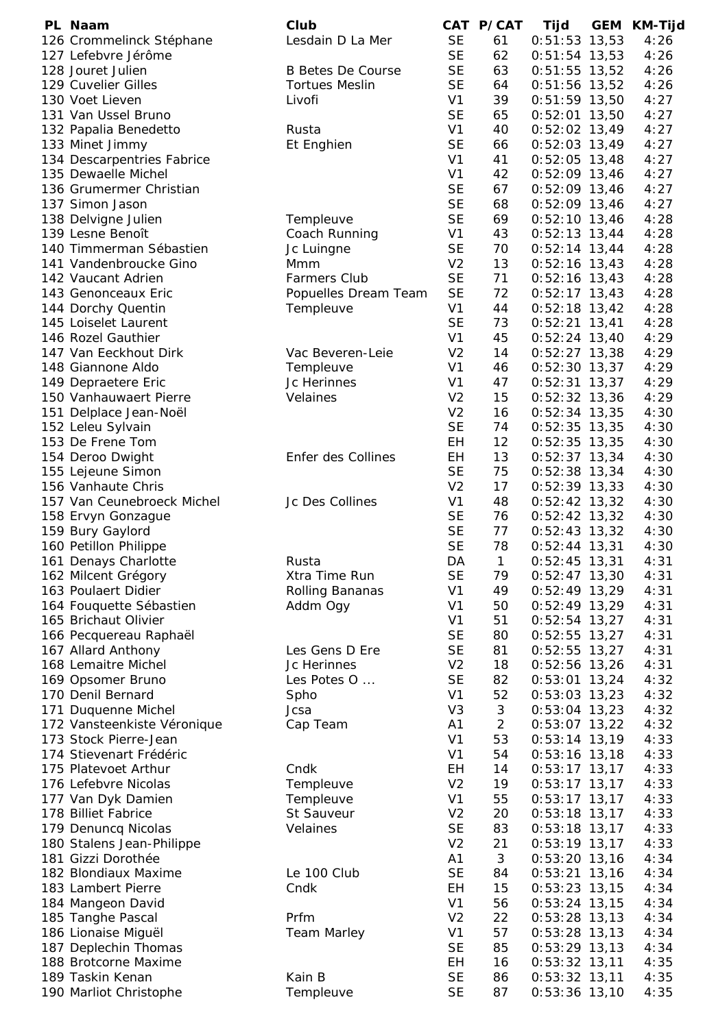| PL Naam                     | Club                     |                | CAT P/CAT      | Tijd            | <b>GEM</b> | <b>KM-Tijd</b> |
|-----------------------------|--------------------------|----------------|----------------|-----------------|------------|----------------|
| 126 Crommelinck Stéphane    | Lesdain D La Mer         | <b>SE</b>      | 61             | $0:51:53$ 13,53 |            | 4:26           |
| 127 Lefebvre Jérôme         |                          | <b>SE</b>      | 62             | $0:51:54$ 13,53 |            | 4:26           |
| 128 Jouret Julien           | <b>B Betes De Course</b> | <b>SE</b>      | 63             | $0:51:55$ 13,52 |            | 4:26           |
| 129 Cuvelier Gilles         | <b>Tortues Meslin</b>    | <b>SE</b>      | 64             | $0:51:56$ 13,52 |            | 4:26           |
| 130 Voet Lieven             | Livofi                   | V <sub>1</sub> | 39             | $0:51:59$ 13,50 |            | 4:27           |
| 131 Van Ussel Bruno         |                          | <b>SE</b>      | 65             | $0:52:01$ 13,50 |            | 4:27           |
| 132 Papalia Benedetto       | Rusta                    | V <sub>1</sub> | 40             | $0:52:02$ 13,49 |            | 4:27           |
| 133 Minet Jimmy             | Et Enghien               | <b>SE</b>      | 66             | $0:52:03$ 13,49 |            | 4:27           |
| 134 Descarpentries Fabrice  |                          | V <sub>1</sub> | 41             | $0:52:05$ 13,48 |            | 4:27           |
| 135 Dewaelle Michel         |                          | V <sub>1</sub> | 42             | $0:52:09$ 13,46 |            | 4:27           |
| 136 Grumermer Christian     |                          | <b>SE</b>      | 67             | $0:52:09$ 13,46 |            | 4:27           |
| 137 Simon Jason             |                          | <b>SE</b>      | 68             | $0:52:09$ 13,46 |            | 4:27           |
| 138 Delvigne Julien         | Templeuve                | <b>SE</b>      | 69             | $0:52:10$ 13,46 |            | 4:28           |
| 139 Lesne Benoît            | Coach Running            | V <sub>1</sub> | 43             | $0:52:13$ 13,44 |            | 4:28           |
| 140 Timmerman Sébastien     | Jc Luingne               | <b>SE</b>      | 70             | $0:52:14$ 13,44 |            | 4:28           |
| 141 Vandenbroucke Gino      | Mmm                      | V <sub>2</sub> | 13             | $0:52:16$ 13,43 |            | 4:28           |
| 142 Vaucant Adrien          | <b>Farmers Club</b>      | <b>SE</b>      | 71             | $0:52:16$ 13,43 |            | 4:28           |
|                             |                          | <b>SE</b>      | 72             |                 |            | 4:28           |
| 143 Genonceaux Eric         | Popuelles Dream Team     |                |                | $0:52:17$ 13,43 |            |                |
| 144 Dorchy Quentin          | Templeuve                | V <sub>1</sub> | 44             | $0:52:18$ 13,42 |            | 4:28           |
| 145 Loiselet Laurent        |                          | <b>SE</b>      | 73             | $0:52:21$ 13,41 |            | 4:28           |
| 146 Rozel Gauthier          |                          | V <sub>1</sub> | 45             | $0:52:24$ 13,40 |            | 4:29           |
| 147 Van Eeckhout Dirk       | Vac Beveren-Leie         | V <sub>2</sub> | 14             | $0:52:27$ 13,38 |            | 4:29           |
| 148 Giannone Aldo           | Templeuve                | V <sub>1</sub> | 46             | $0:52:30$ 13,37 |            | 4:29           |
| 149 Depraetere Eric         | Jc Herinnes              | V <sub>1</sub> | 47             | $0:52:31$ 13,37 |            | 4:29           |
| 150 Vanhauwaert Pierre      | Velaines                 | V <sub>2</sub> | 15             | $0:52:32$ 13,36 |            | 4:29           |
| 151 Delplace Jean-Noël      |                          | V <sub>2</sub> | 16             | $0:52:34$ 13,35 |            | 4:30           |
| 152 Leleu Sylvain           |                          | <b>SE</b>      | 74             | $0:52:35$ 13,35 |            | 4:30           |
| 153 De Frene Tom            |                          | EH             | 12             | $0:52:35$ 13,35 |            | 4:30           |
| 154 Deroo Dwight            | Enfer des Collines       | <b>EH</b>      | 13             | $0:52:37$ 13,34 |            | 4:30           |
| 155 Lejeune Simon           |                          | <b>SE</b>      | 75             | $0:52:38$ 13,34 |            | 4:30           |
| 156 Vanhaute Chris          |                          | V <sub>2</sub> | 17             | $0:52:39$ 13,33 |            | 4:30           |
| 157 Van Ceunebroeck Michel  | Jc Des Collines          | V <sub>1</sub> | 48             | $0:52:42$ 13,32 |            | 4:30           |
| 158 Ervyn Gonzague          |                          | <b>SE</b>      | 76             | $0:52:42$ 13,32 |            | 4:30           |
| 159 Bury Gaylord            |                          | <b>SE</b>      | 77             | $0:52:43$ 13,32 |            | 4:30           |
| 160 Petillon Philippe       |                          | <b>SE</b>      | 78             | $0:52:44$ 13,31 |            | 4:30           |
| 161 Denays Charlotte        | Rusta                    | DA             | $\mathbf{1}$   | $0:52:45$ 13,31 |            | 4:31           |
| 162 Milcent Grégory         | Xtra Time Run            | <b>SE</b>      | 79             | $0:52:47$ 13,30 |            | 4:31           |
| 163 Poulaert Didier         |                          | V <sub>1</sub> | 49             | $0:52:49$ 13,29 |            | 4:31           |
|                             | Rolling Bananas          |                |                |                 |            |                |
| 164 Fouquette Sébastien     | Addm Ogy                 | V <sub>1</sub> | 50             | $0:52:49$ 13,29 |            | 4:31           |
| 165 Brichaut Olivier        |                          | V <sub>1</sub> | 51             | $0:52:54$ 13,27 |            | 4:31           |
| 166 Pecquereau Raphaël      |                          | <b>SE</b>      | 80             | $0:52:55$ 13,27 |            | 4:31           |
| 167 Allard Anthony          | Les Gens D Ere           | <b>SE</b>      | 81             | $0:52:55$ 13,27 |            | 4:31           |
| 168 Lemaitre Michel         | Jc Herinnes              | V <sub>2</sub> | 18             | $0:52:56$ 13,26 |            | 4:31           |
| 169 Opsomer Bruno           | Les Potes O              | <b>SE</b>      | 82             | $0:53:01$ 13,24 |            | 4:32           |
| 170 Denil Bernard           | Spho                     | V <sub>1</sub> | 52             | $0:53:03$ 13,23 |            | 4:32           |
| 171 Duquenne Michel         | Jcsa                     | V <sub>3</sub> | 3              | $0:53:04$ 13,23 |            | 4:32           |
| 172 Vansteenkiste Véronique | Cap Team                 | A <sub>1</sub> | $\overline{2}$ | $0:53:07$ 13,22 |            | 4:32           |
| 173 Stock Pierre-Jean       |                          | V <sub>1</sub> | 53             | $0:53:14$ 13,19 |            | 4:33           |
| 174 Stievenart Frédéric     |                          | V <sub>1</sub> | 54             | $0:53:16$ 13,18 |            | 4:33           |
| 175 Platevoet Arthur        | Cndk                     | EH             | 14             | $0:53:17$ 13,17 |            | 4:33           |
| 176 Lefebvre Nicolas        | Templeuve                | V <sub>2</sub> | 19             | $0:53:17$ 13,17 |            | 4:33           |
| 177 Van Dyk Damien          | Templeuve                | V <sub>1</sub> | 55             | $0:53:17$ 13,17 |            | 4:33           |
| 178 Billiet Fabrice         | St Sauveur               | V <sub>2</sub> | 20             | $0:53:18$ 13,17 |            | 4:33           |
| 179 Denuncq Nicolas         | Velaines                 | <b>SE</b>      | 83             | $0:53:18$ 13,17 |            | 4:33           |
| 180 Stalens Jean-Philippe   |                          | V <sub>2</sub> | 21             | $0:53:19$ 13,17 |            | 4:33           |
| 181 Gizzi Dorothée          |                          | A1             | 3              | $0:53:20$ 13,16 |            | 4:34           |
| 182 Blondiaux Maxime        | Le 100 Club              | <b>SE</b>      | 84             | $0:53:21$ 13,16 |            | 4:34           |
| 183 Lambert Pierre          | Cndk                     | EH             | 15             | $0:53:23$ 13,15 |            | 4:34           |
| 184 Mangeon David           |                          | V <sub>1</sub> | 56             | $0:53:24$ 13,15 |            | 4:34           |
|                             | Prfm                     | V <sub>2</sub> | 22             | $0:53:28$ 13,13 |            | 4:34           |
| 185 Tanghe Pascal           |                          |                | 57             |                 |            |                |
| 186 Lionaise Miguël         | <b>Team Marley</b>       | V <sub>1</sub> |                | $0:53:28$ 13,13 |            | 4:34           |
| 187 Deplechin Thomas        |                          | <b>SE</b>      | 85             | $0:53:29$ 13,13 |            | 4:34           |
| 188 Brotcorne Maxime        |                          | EH             | 16             | $0:53:32$ 13,11 |            | 4:35           |
| 189 Taskin Kenan            | Kain B                   | <b>SE</b>      | 86             | $0:53:32$ 13,11 |            | 4:35           |
| 190 Marliot Christophe      | Templeuve                | <b>SE</b>      | 87             | $0:53:36$ 13,10 |            | 4:35           |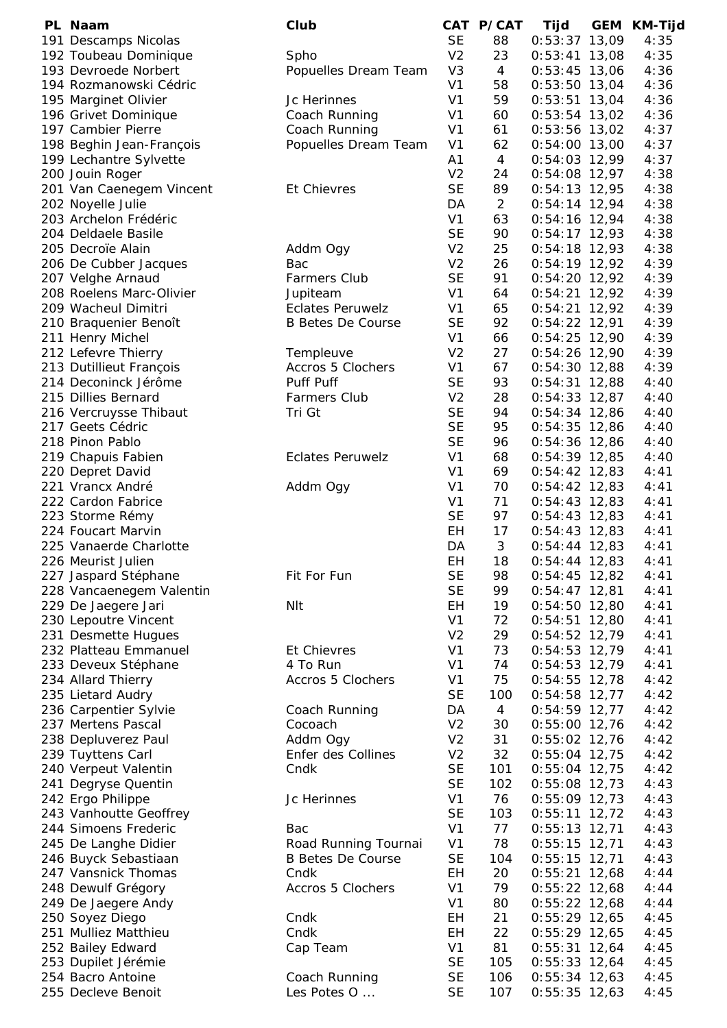| PL Naam                  | Club                     |                | CAT P/CAT      | Tijd            | GEM | KM-Tijd |
|--------------------------|--------------------------|----------------|----------------|-----------------|-----|---------|
| 191 Descamps Nicolas     |                          | <b>SE</b>      | 88             | $0:53:37$ 13,09 |     | 4:35    |
| 192 Toubeau Dominique    | Spho                     | V <sub>2</sub> | 23             | $0:53:41$ 13,08 |     | 4:35    |
| 193 Devroede Norbert     | Popuelles Dream Team     | V <sub>3</sub> | $\overline{4}$ | $0:53:45$ 13,06 |     | 4:36    |
| 194 Rozmanowski Cédric   |                          | V <sub>1</sub> | 58             | $0:53:50$ 13,04 |     | 4:36    |
| 195 Marginet Olivier     | Jc Herinnes              | V <sub>1</sub> | 59             | $0:53:51$ 13,04 |     | 4:36    |
| 196 Grivet Dominique     | Coach Running            | V <sub>1</sub> | 60             | $0:53:54$ 13,02 |     | 4:36    |
| 197 Cambier Pierre       | Coach Running            | V <sub>1</sub> | 61             | $0:53:56$ 13,02 |     | 4:37    |
| 198 Beghin Jean-François | Popuelles Dream Team     | V <sub>1</sub> | 62             | $0:54:00$ 13,00 |     | 4:37    |
| 199 Lechantre Sylvette   |                          | A1             | $\overline{4}$ | $0:54:03$ 12,99 |     | 4:37    |
| 200 Jouin Roger          |                          | V <sub>2</sub> | 24             | 0:54:08 12,97   |     | 4:38    |
| 201 Van Caenegem Vincent | <b>Et Chievres</b>       | <b>SE</b>      | 89             | $0:54:13$ 12,95 |     | 4:38    |
| 202 Noyelle Julie        |                          | DA             | $\overline{2}$ | $0:54:14$ 12,94 |     | 4:38    |
| 203 Archelon Frédéric    |                          | V <sub>1</sub> | 63             | $0:54:16$ 12,94 |     | 4:38    |
| 204 Deldaele Basile      |                          | <b>SE</b>      | 90             | $0:54:17$ 12,93 |     | 4:38    |
| 205 Decroïe Alain        | Addm Ogy                 | V <sub>2</sub> | 25             | $0:54:18$ 12,93 |     | 4:38    |
| 206 De Cubber Jacques    | Bac                      | V <sub>2</sub> | 26             | $0:54:19$ 12,92 |     | 4:39    |
| 207 Velghe Arnaud        | <b>Farmers Club</b>      | <b>SE</b>      | 91             | $0:54:20$ 12,92 |     | 4:39    |
|                          |                          | V <sub>1</sub> | 64             |                 |     |         |
| 208 Roelens Marc-Olivier | Jupiteam                 |                |                | $0:54:21$ 12,92 |     | 4:39    |
| 209 Wacheul Dimitri      | <b>Eclates Peruwelz</b>  | V <sub>1</sub> | 65             | $0:54:21$ 12,92 |     | 4:39    |
| 210 Braquenier Benoît    | <b>B Betes De Course</b> | <b>SE</b>      | 92             | $0:54:22$ 12,91 |     | 4:39    |
| 211 Henry Michel         |                          | V <sub>1</sub> | 66             | $0:54:25$ 12,90 |     | 4:39    |
| 212 Lefevre Thierry      | Templeuve                | V <sub>2</sub> | 27             | $0:54:26$ 12,90 |     | 4:39    |
| 213 Dutillieut François  | Accros 5 Clochers        | V <sub>1</sub> | 67             | $0:54:30$ 12,88 |     | 4:39    |
| 214 Deconinck Jérôme     | Puff Puff                | <b>SE</b>      | 93             | $0:54:31$ 12,88 |     | 4:40    |
| 215 Dillies Bernard      | <b>Farmers Club</b>      | V <sub>2</sub> | 28             | $0:54:33$ 12,87 |     | 4:40    |
| 216 Vercruysse Thibaut   | Tri Gt                   | <b>SE</b>      | 94             | $0:54:34$ 12,86 |     | 4:40    |
| 217 Geets Cédric         |                          | <b>SE</b>      | 95             | $0:54:35$ 12,86 |     | 4:40    |
| 218 Pinon Pablo          |                          | <b>SE</b>      | 96             | $0:54:36$ 12,86 |     | 4:40    |
| 219 Chapuis Fabien       | <b>Eclates Peruwelz</b>  | V <sub>1</sub> | 68             | $0:54:39$ 12,85 |     | 4:40    |
| 220 Depret David         |                          | V <sub>1</sub> | 69             | $0:54:42$ 12,83 |     | 4:41    |
| 221 Vrancx André         | Addm Ogy                 | V <sub>1</sub> | 70             | $0:54:42$ 12,83 |     | 4:41    |
| 222 Cardon Fabrice       |                          | V <sub>1</sub> | 71             | $0:54:43$ 12,83 |     | 4:41    |
| 223 Storme Rémy          |                          | <b>SE</b>      | 97             | $0:54:43$ 12,83 |     | 4:41    |
| 224 Foucart Marvin       |                          | EH             | 17             | $0:54:43$ 12,83 |     | 4:41    |
| 225 Vanaerde Charlotte   |                          | DA             | 3              | $0:54:44$ 12,83 |     | 4:41    |
| 226 Meurist Julien       |                          | EH             | 18             | $0:54:44$ 12,83 |     | 4:41    |
| 227 Jaspard Stéphane     | Fit For Fun              | <b>SE</b>      | 98             | $0:54:45$ 12,82 |     | 4:41    |
| 228 Vancaenegem Valentin |                          | <b>SE</b>      | 99             | $0:54:47$ 12,81 |     | 4:41    |
| 229 De Jaegere Jari      | <b>NIt</b>               | EH             | 19             | $0:54:50$ 12,80 |     | 4:41    |
| 230 Lepoutre Vincent     |                          | V <sub>1</sub> | 72             | $0:54:51$ 12,80 |     | 4:41    |
| 231 Desmette Hugues      |                          | V <sub>2</sub> | 29             | $0:54:52$ 12,79 |     | 4:41    |
| 232 Platteau Emmanuel    | Et Chievres              | V <sub>1</sub> | 73             | $0:54:53$ 12,79 |     | 4:41    |
| 233 Deveux Stéphane      | 4 To Run                 | V <sub>1</sub> | 74             | $0:54:53$ 12,79 |     | 4:41    |
| 234 Allard Thierry       | Accros 5 Clochers        | V <sub>1</sub> | 75             | $0:54:55$ 12,78 |     | 4:42    |
| 235 Lietard Audry        |                          | <b>SE</b>      | 100            | $0:54:58$ 12,77 |     | 4:42    |
| 236 Carpentier Sylvie    | Coach Running            | DA             | $\overline{4}$ | $0:54:59$ 12,77 |     | 4:42    |
| 237 Mertens Pascal       | Cocoach                  | V <sub>2</sub> | 30             | $0:55:00$ 12,76 |     | 4:42    |
| 238 Depluverez Paul      | Addm Ogy                 | V <sub>2</sub> | 31             | $0:55:02$ 12,76 |     | 4:42    |
| 239 Tuyttens Carl        | Enfer des Collines       | V <sub>2</sub> | 32             | $0:55:04$ 12,75 |     | 4:42    |
| 240 Verpeut Valentin     | Cndk                     | <b>SE</b>      | 101            | $0:55:04$ 12,75 |     | 4:42    |
| 241 Degryse Quentin      |                          | <b>SE</b>      | 102            | $0:55:08$ 12,73 |     | 4:43    |
| 242 Ergo Philippe        | Jc Herinnes              | V <sub>1</sub> | 76             | $0:55:09$ 12,73 |     | 4:43    |
| 243 Vanhoutte Geoffrey   |                          | <b>SE</b>      | 103            | $0:55:11$ 12,72 |     | 4:43    |
| 244 Simoens Frederic     | Bac                      | V <sub>1</sub> | 77             | $0:55:13$ 12,71 |     | 4:43    |
| 245 De Langhe Didier     | Road Running Tournai     | V <sub>1</sub> | 78             | $0:55:15$ 12,71 |     | 4:43    |
| 246 Buyck Sebastiaan     | <b>B Betes De Course</b> | <b>SE</b>      | 104            | $0:55:15$ 12,71 |     | 4:43    |
| 247 Vansnick Thomas      | Cndk                     | EH             | 20             | $0:55:21$ 12,68 |     | 4:44    |
| 248 Dewulf Grégory       | <b>Accros 5 Clochers</b> | V <sub>1</sub> | 79             | $0:55:22$ 12,68 |     | 4:44    |
| 249 De Jaegere Andy      |                          | V <sub>1</sub> | 80             | $0:55:22$ 12,68 |     | 4:44    |
| 250 Soyez Diego          | Cndk                     | EH             | 21             | $0:55:29$ 12,65 |     | 4:45    |
| 251 Mulliez Matthieu     | Cndk                     | EH             | 22             | $0:55:29$ 12,65 |     | 4:45    |
| 252 Bailey Edward        | Cap Team                 | V <sub>1</sub> | 81             | $0:55:31$ 12,64 |     | 4:45    |
| 253 Dupilet Jérémie      |                          | <b>SE</b>      | 105            | $0:55:33$ 12,64 |     | 4:45    |
| 254 Bacro Antoine        | Coach Running            | <b>SE</b>      | 106            | $0:55:34$ 12,63 |     | 4:45    |
| 255 Decleve Benoit       | Les Potes O              | <b>SE</b>      | 107            | $0:55:35$ 12,63 |     | 4:45    |
|                          |                          |                |                |                 |     |         |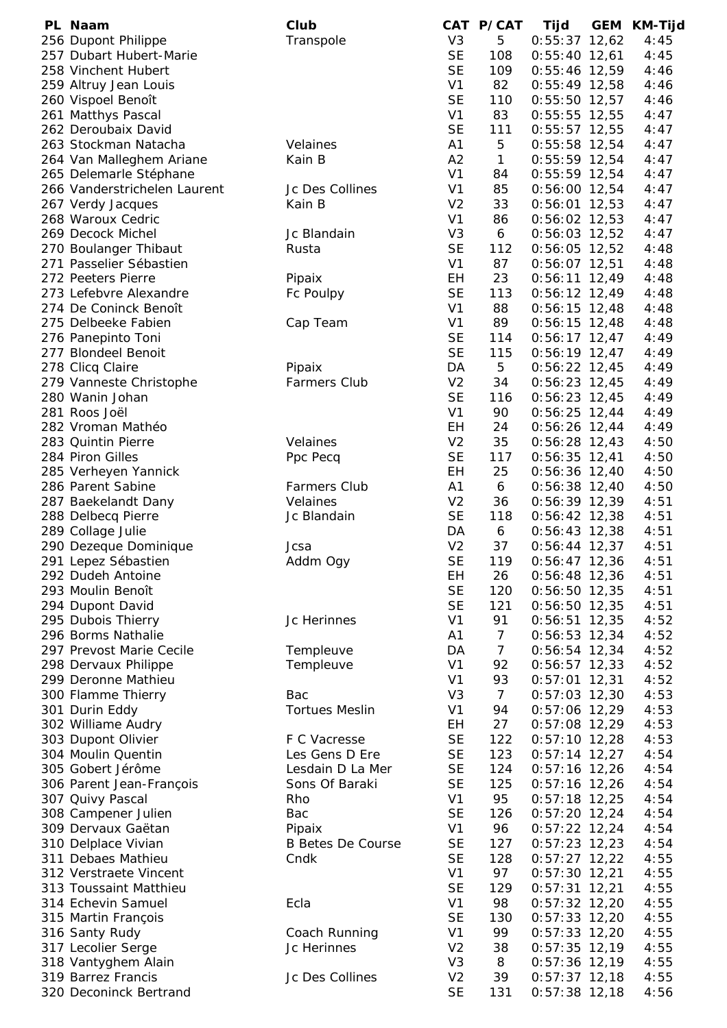| PL Naam                      | Club                     |                | CAT P/CAT      | Tijd            | <b>GEM</b> | KM-Tijd |
|------------------------------|--------------------------|----------------|----------------|-----------------|------------|---------|
| 256 Dupont Philippe          | Transpole                | V <sub>3</sub> | 5              | $0:55:37$ 12,62 |            | 4:45    |
| 257 Dubart Hubert-Marie      |                          | <b>SE</b>      | 108            | $0:55:40$ 12,61 |            | 4:45    |
| 258 Vinchent Hubert          |                          | <b>SE</b>      | 109            | $0:55:46$ 12,59 |            | 4:46    |
| 259 Altruy Jean Louis        |                          | V <sub>1</sub> | 82             | $0:55:49$ 12,58 |            | 4:46    |
| 260 Vispoel Benoît           |                          | <b>SE</b>      | 110            | $0:55:50$ 12,57 |            | 4:46    |
| 261 Matthys Pascal           |                          | V <sub>1</sub> | 83             | $0:55:55$ 12,55 |            | 4:47    |
| 262 Deroubaix David          |                          | <b>SE</b>      | 111            | $0:55:57$ 12,55 |            | 4:47    |
| 263 Stockman Natacha         | Velaines                 | A1             | 5              | $0:55:58$ 12,54 |            | 4:47    |
| 264 Van Malleghem Ariane     | Kain B                   | A2             | $\mathbf{1}$   | $0:55:59$ 12,54 |            | 4:47    |
| 265 Delemarle Stéphane       |                          | V <sub>1</sub> | 84             | $0:55:59$ 12,54 |            | 4:47    |
| 266 Vanderstrichelen Laurent | Jc Des Collines          | V <sub>1</sub> | 85             | $0:56:00$ 12,54 |            | 4:47    |
| 267 Verdy Jacques            | Kain B                   | V <sub>2</sub> | 33             | $0:56:01$ 12,53 |            | 4:47    |
| 268 Waroux Cedric            |                          | V <sub>1</sub> | 86             | $0:56:02$ 12,53 |            | 4:47    |
| 269 Decock Michel            | Jc Blandain              | V <sub>3</sub> | 6              | $0:56:03$ 12,52 |            | 4:47    |
| 270 Boulanger Thibaut        | Rusta                    | <b>SE</b>      | 112            | $0:56:05$ 12,52 |            | 4:48    |
| 271 Passelier Sébastien      |                          | V <sub>1</sub> | 87             | $0:56:07$ 12,51 |            | 4:48    |
| 272 Peeters Pierre           | Pipaix                   | EH             | 23             | $0:56:11$ 12,49 |            | 4:48    |
| 273 Lefebvre Alexandre       | Fc Poulpy                | <b>SE</b>      | 113            | $0:56:12$ 12,49 |            | 4:48    |
| 274 De Coninck Benoît        |                          | V <sub>1</sub> | 88             | $0:56:15$ 12,48 |            | 4:48    |
| 275 Delbeeke Fabien          |                          | V <sub>1</sub> | 89             | $0:56:15$ 12,48 |            |         |
| 276 Panepinto Toni           | Cap Team                 | <b>SE</b>      | 114            |                 |            | 4:48    |
|                              |                          |                |                | $0:56:17$ 12,47 |            | 4:49    |
| 277 Blondeel Benoit          |                          | <b>SE</b>      | 115            | $0:56:19$ 12,47 |            | 4:49    |
| 278 Clicq Claire             | Pipaix                   | DA             | 5              | $0:56:22$ 12,45 |            | 4:49    |
| 279 Vanneste Christophe      | <b>Farmers Club</b>      | V <sub>2</sub> | 34             | $0:56:23$ 12,45 |            | 4:49    |
| 280 Wanin Johan              |                          | <b>SE</b>      | 116            | $0:56:23$ 12,45 |            | 4:49    |
| 281 Roos Joël                |                          | V <sub>1</sub> | 90             | $0:56:25$ 12,44 |            | 4:49    |
| 282 Vroman Mathéo            |                          | EH             | 24             | $0:56:26$ 12,44 |            | 4:49    |
| 283 Quintin Pierre           | Velaines                 | V <sub>2</sub> | 35             | $0:56:28$ 12,43 |            | 4:50    |
| 284 Piron Gilles             | Ppc Pecq                 | <b>SE</b>      | 117            | $0:56:35$ 12,41 |            | 4:50    |
| 285 Verheyen Yannick         |                          | EH             | 25             | $0:56:36$ 12,40 |            | 4:50    |
| 286 Parent Sabine            | <b>Farmers Club</b>      | A1             | 6              | $0:56:38$ 12,40 |            | 4:50    |
| 287 Baekelandt Dany          | Velaines                 | V <sub>2</sub> | 36             | $0:56:39$ 12,39 |            | 4:51    |
| 288 Delbecq Pierre           | Jc Blandain              | <b>SE</b>      | 118            | $0:56:42$ 12,38 |            | 4:51    |
| 289 Collage Julie            |                          | DA             | 6              | $0:56:43$ 12,38 |            | 4:51    |
| 290 Dezeque Dominique        | Jcsa                     | V <sub>2</sub> | 37             | $0:56:44$ 12,37 |            | 4:51    |
| 291 Lepez Sébastien          | Addm Ogy                 | <b>SE</b>      | 119            | $0:56:47$ 12,36 |            | 4:51    |
| 292 Dudeh Antoine            |                          | EH             | 26             | $0:56:48$ 12,36 |            | 4:51    |
| 293 Moulin Benoît            |                          | <b>SE</b>      | 120            | $0:56:50$ 12,35 |            | 4:51    |
| 294 Dupont David             |                          | <b>SE</b>      | 121            | $0:56:50$ 12,35 |            | 4:51    |
| 295 Dubois Thierry           | Jc Herinnes              | V <sub>1</sub> | 91             | $0:56:51$ 12,35 |            | 4:52    |
| 296 Borms Nathalie           |                          | A1             | $\overline{7}$ | $0:56:53$ 12,34 |            | 4:52    |
| 297 Prevost Marie Cecile     | Templeuve                | DA             | $\overline{7}$ | $0:56:54$ 12,34 |            | 4:52    |
| 298 Dervaux Philippe         | Templeuve                | V <sub>1</sub> | 92             | $0:56:57$ 12,33 |            | 4:52    |
| 299 Deronne Mathieu          |                          | V <sub>1</sub> | 93             | $0:57:01$ 12,31 |            | 4:52    |
| 300 Flamme Thierry           | Bac                      | V <sub>3</sub> | $\overline{7}$ | $0:57:03$ 12,30 |            | 4:53    |
| 301 Durin Eddy               | <b>Tortues Meslin</b>    | V <sub>1</sub> | 94             | $0:57:06$ 12,29 |            | 4:53    |
| 302 Williame Audry           |                          | EH             | 27             | $0:57:08$ 12,29 |            | 4:53    |
| 303 Dupont Olivier           | F C Vacresse             | <b>SE</b>      | 122            | $0:57:10$ 12,28 |            | 4:53    |
| 304 Moulin Quentin           | Les Gens D Ere           | <b>SE</b>      | 123            | $0:57:14$ 12,27 |            | 4:54    |
| 305 Gobert Jérôme            | Lesdain D La Mer         | <b>SE</b>      | 124            | $0:57:16$ 12,26 |            | 4:54    |
| 306 Parent Jean-François     | Sons Of Baraki           | <b>SE</b>      | 125            | $0:57:16$ 12,26 |            | 4:54    |
| 307 Quivy Pascal             | Rho                      | V <sub>1</sub> | 95             | $0:57:18$ 12,25 |            | 4:54    |
|                              | Bac                      | <b>SE</b>      | 126            |                 |            |         |
| 308 Campener Julien          |                          |                |                | $0:57:20$ 12,24 |            | 4:54    |
| 309 Dervaux Gaëtan           | Pipaix                   | V <sub>1</sub> | 96             | $0:57:22$ 12,24 |            | 4:54    |
| 310 Delplace Vivian          | <b>B Betes De Course</b> | <b>SE</b>      | 127            | $0:57:23$ 12,23 |            | 4:54    |
| 311 Debaes Mathieu           | Cndk                     | <b>SE</b>      | 128            | $0:57:27$ 12,22 |            | 4:55    |
| 312 Verstraete Vincent       |                          | V <sub>1</sub> | 97             | $0:57:30$ 12,21 |            | 4:55    |
| 313 Toussaint Matthieu       |                          | <b>SE</b>      | 129            | $0:57:31$ 12,21 |            | 4:55    |
| 314 Echevin Samuel           | Ecla                     | V <sub>1</sub> | 98             | $0:57:32$ 12,20 |            | 4:55    |
| 315 Martin François          |                          | <b>SE</b>      | 130            | $0:57:33$ 12,20 |            | 4:55    |
| 316 Santy Rudy               | Coach Running            | V <sub>1</sub> | 99             | $0:57:33$ 12,20 |            | 4:55    |
| 317 Lecolier Serge           | Jc Herinnes              | V <sub>2</sub> | 38             | $0:57:35$ 12,19 |            | 4:55    |
| 318 Vantyghem Alain          |                          | V <sub>3</sub> | 8              | $0:57:36$ 12,19 |            | 4:55    |
| 319 Barrez Francis           | Jc Des Collines          | V <sub>2</sub> | 39             | $0:57:37$ 12,18 |            | 4:55    |
| 320 Deconinck Bertrand       |                          | <b>SE</b>      | 131            | $0:57:38$ 12,18 |            | 4:56    |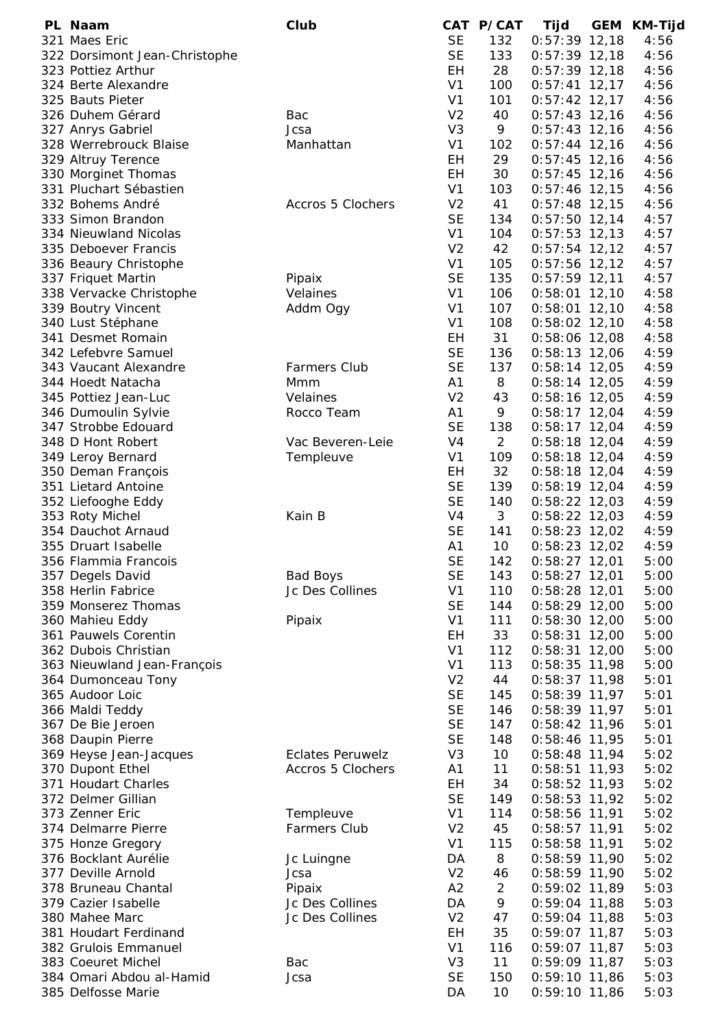| PL Naam                       | Club                    |                | CAT P/CAT      | Tijd            | GEM | KM-Tijd |
|-------------------------------|-------------------------|----------------|----------------|-----------------|-----|---------|
| 321 Maes Eric                 |                         | <b>SE</b>      | 132            | $0:57:39$ 12,18 |     | 4:56    |
| 322 Dorsimont Jean-Christophe |                         | <b>SE</b>      | 133            | $0:57:39$ 12,18 |     | 4:56    |
| 323 Pottiez Arthur            |                         | EH             | 28             | $0:57:39$ 12,18 |     | 4:56    |
| 324 Berte Alexandre           |                         | V <sub>1</sub> | 100            | $0:57:41$ 12,17 |     | 4:56    |
| 325 Bauts Pieter              |                         | V <sub>1</sub> | 101            | $0:57:42$ 12,17 |     | 4:56    |
| 326 Duhem Gérard              | Bac                     | V <sub>2</sub> | 40             | $0:57:43$ 12,16 |     | 4:56    |
| 327 Anrys Gabriel             | Jcsa                    | V <sub>3</sub> | 9              | $0:57:43$ 12,16 |     | 4:56    |
| 328 Werrebrouck Blaise        | Manhattan               | V <sub>1</sub> | 102            | $0:57:44$ 12,16 |     | 4:56    |
| 329 Altruy Terence            |                         | EH             | 29             | $0:57:45$ 12,16 |     | 4:56    |
| 330 Morginet Thomas           |                         | <b>EH</b>      | 30             | $0:57:45$ 12,16 |     | 4:56    |
| 331 Pluchart Sébastien        |                         | V <sub>1</sub> | 103            | $0:57:46$ 12,15 |     | 4:56    |
| 332 Bohems André              | Accros 5 Clochers       | V <sub>2</sub> | 41             | $0:57:48$ 12,15 |     | 4:56    |
| 333 Simon Brandon             |                         | <b>SE</b>      | 134            | $0:57:50$ 12,14 |     | 4:57    |
| 334 Nieuwland Nicolas         |                         | V <sub>1</sub> |                |                 |     |         |
|                               |                         | V <sub>2</sub> | 104            | $0:57:53$ 12,13 |     | 4:57    |
| 335 Deboever Francis          |                         |                | 42             | $0:57:54$ 12,12 |     | 4:57    |
| 336 Beaury Christophe         |                         | V <sub>1</sub> | 105            | $0:57:56$ 12,12 |     | 4:57    |
| 337 Friquet Martin            | Pipaix                  | <b>SE</b>      | 135            | $0:57:59$ 12,11 |     | 4:57    |
| 338 Vervacke Christophe       | Velaines                | V <sub>1</sub> | 106            | $0:58:01$ 12,10 |     | 4:58    |
| 339 Boutry Vincent            | Addm Ogy                | V <sub>1</sub> | 107            | $0:58:01$ 12,10 |     | 4:58    |
| 340 Lust Stéphane             |                         | V <sub>1</sub> | 108            | $0:58:02$ 12,10 |     | 4:58    |
| 341 Desmet Romain             |                         | EH             | 31             | $0:58:06$ 12,08 |     | 4:58    |
| 342 Lefebvre Samuel           |                         | <b>SE</b>      | 136            | $0:58:13$ 12,06 |     | 4:59    |
| 343 Vaucant Alexandre         | <b>Farmers Club</b>     | <b>SE</b>      | 137            | $0:58:14$ 12,05 |     | 4:59    |
| 344 Hoedt Natacha             | Mmm                     | A1             | 8              | $0:58:14$ 12,05 |     | 4:59    |
| 345 Pottiez Jean-Luc          | Velaines                | V <sub>2</sub> | 43             | $0:58:16$ 12,05 |     | 4:59    |
| 346 Dumoulin Sylvie           | Rocco Team              | A1             | 9              | $0:58:17$ 12,04 |     | 4:59    |
| 347 Strobbe Edouard           |                         | <b>SE</b>      | 138            | $0:58:17$ 12,04 |     | 4:59    |
| 348 D Hont Robert             | Vac Beveren-Leie        | V4             | $\overline{2}$ | $0:58:18$ 12,04 |     | 4:59    |
| 349 Leroy Bernard             | Templeuve               | V <sub>1</sub> | 109            | $0:58:18$ 12,04 |     | 4:59    |
| 350 Deman François            |                         | EН             | 32             | $0:58:18$ 12,04 |     | 4:59    |
| 351 Lietard Antoine           |                         | <b>SE</b>      | 139            | $0:58:19$ 12,04 |     | 4:59    |
| 352 Liefooghe Eddy            |                         | <b>SE</b>      | 140            | $0:58:22$ 12,03 |     | 4:59    |
| 353 Roty Michel               | Kain B                  | V <sub>4</sub> | 3              | $0:58:22$ 12,03 |     | 4:59    |
| 354 Dauchot Arnaud            |                         | <b>SE</b>      | 141            | $0:58:23$ 12,02 |     | 4:59    |
| 355 Druart Isabelle           |                         | A1             | 10             | $0:58:23$ 12,02 |     | 4:59    |
| 356 Flammia Francois          |                         | <b>SE</b>      | 142            | $0:58:27$ 12,01 |     | 5:00    |
| 357 Degels David              | <b>Bad Boys</b>         | <b>SE</b>      | 143            | $0:58:27$ 12,01 |     | 5:00    |
| 358 Herlin Fabrice            | Jc Des Collines         | V <sub>1</sub> | 110            | $0:58:28$ 12,01 |     | 5:00    |
| 359 Monserez Thomas           |                         | <b>SE</b>      | 144            | $0:58:29$ 12,00 |     | 5:00    |
| 360 Mahieu Eddy               | Pipaix                  | V <sub>1</sub> | 111            | $0:58:30$ 12,00 |     | 5:00    |
| 361 Pauwels Corentin          |                         | EH             | 33             | $0:58:31$ 12,00 |     | 5:00    |
| 362 Dubois Christian          |                         | V <sub>1</sub> | 112            | $0:58:31$ 12,00 |     | 5:00    |
| 363 Nieuwland Jean-François   |                         | V <sub>1</sub> | 113            | $0:58:35$ 11,98 |     | 5:00    |
| 364 Dumonceau Tony            |                         | V <sub>2</sub> | 44             | $0:58:37$ 11,98 |     | 5:01    |
| 365 Audoor Loic               |                         | <b>SE</b>      | 145            | $0:58:39$ 11,97 |     | 5:01    |
| 366 Maldi Teddy               |                         | <b>SE</b>      | 146            | $0:58:39$ 11,97 |     | 5:01    |
| 367 De Bie Jeroen             |                         | <b>SE</b>      | 147            | $0:58:42$ 11,96 |     | 5:01    |
| 368 Daupin Pierre             |                         | <b>SE</b>      | 148            | 0:58:46 11,95   |     | 5:01    |
| 369 Heyse Jean-Jacques        | <b>Eclates Peruwelz</b> | V <sub>3</sub> | 10             | $0:58:48$ 11,94 |     | 5:02    |
| 370 Dupont Ethel              | Accros 5 Clochers       | A1             | 11             | $0:58:51$ 11,93 |     | 5:02    |
| 371 Houdart Charles           |                         | EH             | 34             |                 |     | 5:02    |
|                               |                         | <b>SE</b>      |                | $0:58:52$ 11,93 |     |         |
| 372 Delmer Gillian            |                         |                | 149            | $0:58:53$ 11,92 |     | 5:02    |
| 373 Zenner Eric               | Templeuve               | V <sub>1</sub> | 114            | $0:58:56$ 11,91 |     | 5:02    |
| 374 Delmarre Pierre           | <b>Farmers Club</b>     | V <sub>2</sub> | 45             | $0:58:57$ 11,91 |     | 5:02    |
| 375 Honze Gregory             |                         | V <sub>1</sub> | 115            | $0:58:58$ 11,91 |     | 5:02    |
| 376 Bocklant Aurélie          | Jc Luingne              | DA             | 8              | $0:58:59$ 11,90 |     | 5:02    |
| 377 Deville Arnold            | Jcsa                    | V <sub>2</sub> | 46             | $0:58:59$ 11,90 |     | 5:02    |
| 378 Bruneau Chantal           | Pipaix                  | A2             | $\overline{2}$ | $0:59:02$ 11,89 |     | 5:03    |
| 379 Cazier Isabelle           | Jc Des Collines         | DA             | 9              | $0:59:04$ 11,88 |     | 5:03    |
| 380 Mahee Marc                | Jc Des Collines         | V <sub>2</sub> | 47             | $0:59:04$ 11,88 |     | 5:03    |
| 381 Houdart Ferdinand         |                         | EH             | 35             | $0:59:07$ 11,87 |     | 5:03    |
| 382 Grulois Emmanuel          |                         | V <sub>1</sub> | 116            | $0:59:07$ 11,87 |     | 5:03    |
| 383 Coeuret Michel            | Bac                     | V <sub>3</sub> | 11             | $0:59:09$ 11,87 |     | 5:03    |
| 384 Omari Abdou al-Hamid      | Jcsa                    | <b>SE</b>      | 150            | $0:59:10$ 11,86 |     | 5:03    |
| 385 Delfosse Marie            |                         | DA             | 10             | $0:59:10$ 11,86 |     | 5:03    |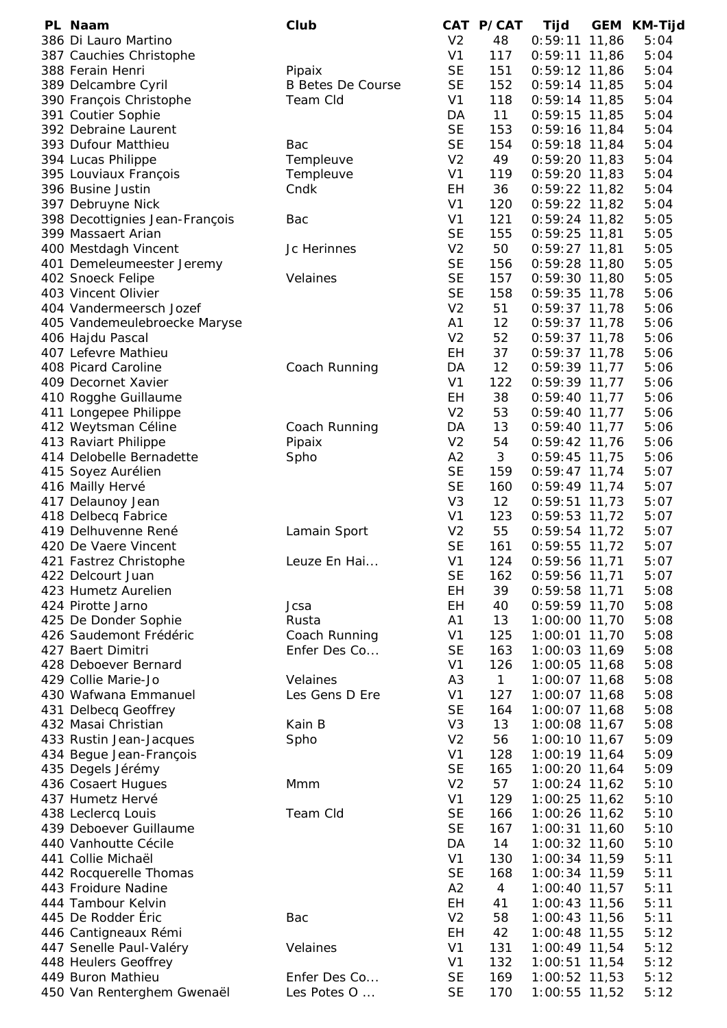| PL Naam                        | Club                     |                | CAT P/CAT    | Tijd            | GEM | KM-Tijd |
|--------------------------------|--------------------------|----------------|--------------|-----------------|-----|---------|
| 386 Di Lauro Martino           |                          | V <sub>2</sub> | 48           | $0:59:11$ 11,86 |     | 5:04    |
| 387 Cauchies Christophe        |                          | V <sub>1</sub> | 117          | $0:59:11$ 11,86 |     | 5:04    |
| 388 Ferain Henri               | Pipaix                   | <b>SE</b>      | 151          | $0:59:12$ 11,86 |     | 5:04    |
| 389 Delcambre Cyril            | <b>B Betes De Course</b> | <b>SE</b>      | 152          | $0:59:14$ 11,85 |     | 5:04    |
| 390 François Christophe        | Team Cld                 | V <sub>1</sub> | 118          | $0:59:14$ 11,85 |     | 5:04    |
| 391 Coutier Sophie             |                          | DA             | 11           | $0:59:15$ 11,85 |     | 5:04    |
| 392 Debraine Laurent           |                          | <b>SE</b>      | 153          | 0:59:16 11,84   |     | 5:04    |
| 393 Dufour Matthieu            | Bac                      | <b>SE</b>      | 154          | $0:59:18$ 11,84 |     | 5:04    |
| 394 Lucas Philippe             | Templeuve                | V <sub>2</sub> | 49           | $0:59:20$ 11,83 |     | 5:04    |
| 395 Louviaux François          | Templeuve                | V <sub>1</sub> | 119          | $0:59:20$ 11,83 |     | 5:04    |
| 396 Busine Justin              | Cndk                     | EH             | 36           | $0:59:22$ 11,82 |     | 5:04    |
| 397 Debruyne Nick              |                          | V <sub>1</sub> | 120          | $0:59:22$ 11,82 |     | 5:04    |
| 398 Decottignies Jean-François | Bac                      | V <sub>1</sub> | 121          | 0:59:24 11,82   |     | 5:05    |
| 399 Massaert Arian             |                          | <b>SE</b>      | 155          | $0:59:25$ 11,81 |     | 5:05    |
| 400 Mestdagh Vincent           | Jc Herinnes              | V <sub>2</sub> | 50           | $0:59:27$ 11,81 |     | 5:05    |
| 401 Demeleumeester Jeremy      |                          | <b>SE</b>      | 156          | $0:59:28$ 11,80 |     | 5:05    |
| 402 Snoeck Felipe              | Velaines                 | <b>SE</b>      | 157          | 0:59:30 11,80   |     | 5:05    |
| 403 Vincent Olivier            |                          | <b>SE</b>      | 158          | $0:59:35$ 11,78 |     | 5:06    |
| 404 Vandermeersch Jozef        |                          |                |              |                 |     |         |
|                                |                          | V <sub>2</sub> | 51           | $0:59:37$ 11,78 |     | 5:06    |
| 405 Vandemeulebroecke Maryse   |                          | A <sub>1</sub> | 12           | $0:59:37$ 11,78 |     | 5:06    |
| 406 Hajdu Pascal               |                          | V <sub>2</sub> | 52           | $0:59:37$ 11,78 |     | 5:06    |
| 407 Lefevre Mathieu            |                          | EH             | 37           | $0:59:37$ 11,78 |     | 5:06    |
| 408 Picard Caroline            | Coach Running            | DA             | 12           | $0:59:39$ 11,77 |     | 5:06    |
| 409 Decornet Xavier            |                          | V <sub>1</sub> | 122          | $0:59:39$ 11,77 |     | 5:06    |
| 410 Rogghe Guillaume           |                          | EH             | 38           | $0:59:40$ 11,77 |     | 5:06    |
| 411 Longepee Philippe          |                          | V <sub>2</sub> | 53           | $0:59:40$ 11,77 |     | 5:06    |
| 412 Weytsman Céline            | Coach Running            | DA             | 13           | $0:59:40$ 11,77 |     | 5:06    |
| 413 Raviart Philippe           | Pipaix                   | V <sub>2</sub> | 54           | $0:59:42$ 11,76 |     | 5:06    |
| 414 Delobelle Bernadette       | Spho                     | A2             | 3            | $0:59:45$ 11,75 |     | 5:06    |
| 415 Soyez Aurélien             |                          | <b>SE</b>      | 159          | $0:59:47$ 11,74 |     | 5:07    |
| 416 Mailly Hervé               |                          | <b>SE</b>      | 160          | $0:59:49$ 11,74 |     | 5:07    |
| 417 Delaunoy Jean              |                          | V <sub>3</sub> | 12           | $0:59:51$ 11,73 |     | 5:07    |
| 418 Delbecq Fabrice            |                          | V <sub>1</sub> | 123          | 0:59:53 11,72   |     | 5:07    |
| 419 Delhuvenne René            | Lamain Sport             | V <sub>2</sub> | 55           | $0:59:54$ 11,72 |     | 5:07    |
| 420 De Vaere Vincent           |                          | <b>SE</b>      | 161          | 0:59:55 11,72   |     | 5:07    |
| 421 Fastrez Christophe         | Leuze En Hai             | V <sub>1</sub> | 124          | $0:59:56$ 11,71 |     | 5:07    |
| 422 Delcourt Juan              |                          | <b>SE</b>      | 162          | 0:59:56 11,71   |     | 5:07    |
| 423 Humetz Aurelien            |                          | <b>EH</b>      | 39           | 0:59:58 11,71   |     | 5:08    |
| 424 Pirotte Jarno              | Jcsa                     | EH             | 40           | $0:59:59$ 11,70 |     | 5:08    |
| 425 De Donder Sophie           | Rusta                    | A1             | 13           | 1:00:00 11,70   |     | 5:08    |
|                                |                          |                |              |                 |     |         |
| 426 Saudemont Frédéric         | Coach Running            | V <sub>1</sub> | 125          | 1:00:01 11,70   |     | 5:08    |
| 427 Baert Dimitri              | Enfer Des Co             | <b>SE</b>      | 163          | 1:00:03 11,69   |     | 5:08    |
| 428 Deboever Bernard           |                          | V <sub>1</sub> | 126          | 1:00:05 11,68   |     | 5:08    |
| 429 Collie Marie-Jo            | Velaines                 | A <sub>3</sub> | $\mathbf{1}$ | 1:00:07 11,68   |     | 5:08    |
| 430 Wafwana Emmanuel           | Les Gens D Ere           | V <sub>1</sub> | 127          | 1:00:07 11,68   |     | 5:08    |
| 431 Delbecq Geoffrey           |                          | <b>SE</b>      | 164          | 1:00:07 11,68   |     | 5:08    |
| 432 Masai Christian            | Kain B                   | V <sub>3</sub> | 13           | 1:00:08 11,67   |     | 5:08    |
| 433 Rustin Jean-Jacques        | Spho                     | V <sub>2</sub> | 56           | $1:00:10$ 11,67 |     | 5:09    |
| 434 Begue Jean-François        |                          | V <sub>1</sub> | 128          | 1:00:19 11,64   |     | 5:09    |
| 435 Degels Jérémy              |                          | <b>SE</b>      | 165          | 1:00:20 11,64   |     | 5:09    |
| 436 Cosaert Hugues             | Mmm                      | V <sub>2</sub> | 57           | $1:00:24$ 11,62 |     | 5:10    |
| 437 Humetz Hervé               |                          | V <sub>1</sub> | 129          | 1:00:25 11,62   |     | 5:10    |
| 438 Leclercq Louis             | Team Cld                 | <b>SE</b>      | 166          | 1:00:26 11,62   |     | 5:10    |
| 439 Deboever Guillaume         |                          | <b>SE</b>      | 167          | 1:00:31 11,60   |     | 5:10    |
| 440 Vanhoutte Cécile           |                          | DA             | 14           | 1:00:32 11,60   |     | 5:10    |
| 441 Collie Michaël             |                          | V <sub>1</sub> | 130          | 1:00:34 11,59   |     | 5:11    |
| 442 Rocquerelle Thomas         |                          | <b>SE</b>      | 168          | 1:00:34 11,59   |     | 5:11    |
| 443 Froidure Nadine            |                          | A2             | 4            | 1:00:40 11,57   |     | 5:11    |
| 444 Tambour Kelvin             |                          | EH             | 41           | 1:00:43 11,56   |     | 5:11    |
| 445 De Rodder Éric             | Bac                      | V <sub>2</sub> | 58           | 1:00:43 11,56   |     | 5:11    |
| 446 Cantigneaux Rémi           |                          | EH             | 42           | $1:00:48$ 11,55 |     | 5:12    |
| 447 Senelle Paul-Valéry        | Velaines                 | V <sub>1</sub> | 131          | 1:00:49 11,54   |     | 5:12    |
| 448 Heulers Geoffrey           |                          | V1             | 132          | $1:00:51$ 11,54 |     | 5:12    |
| 449 Buron Mathieu              | Enfer Des Co             | <b>SE</b>      | 169          |                 |     | 5:12    |
|                                |                          |                |              | 1:00:52 11,53   |     |         |
| 450 Van Renterghem Gwenaël     | Les Potes O              | <b>SE</b>      | 170          | 1:00:55 11,52   |     | 5:12    |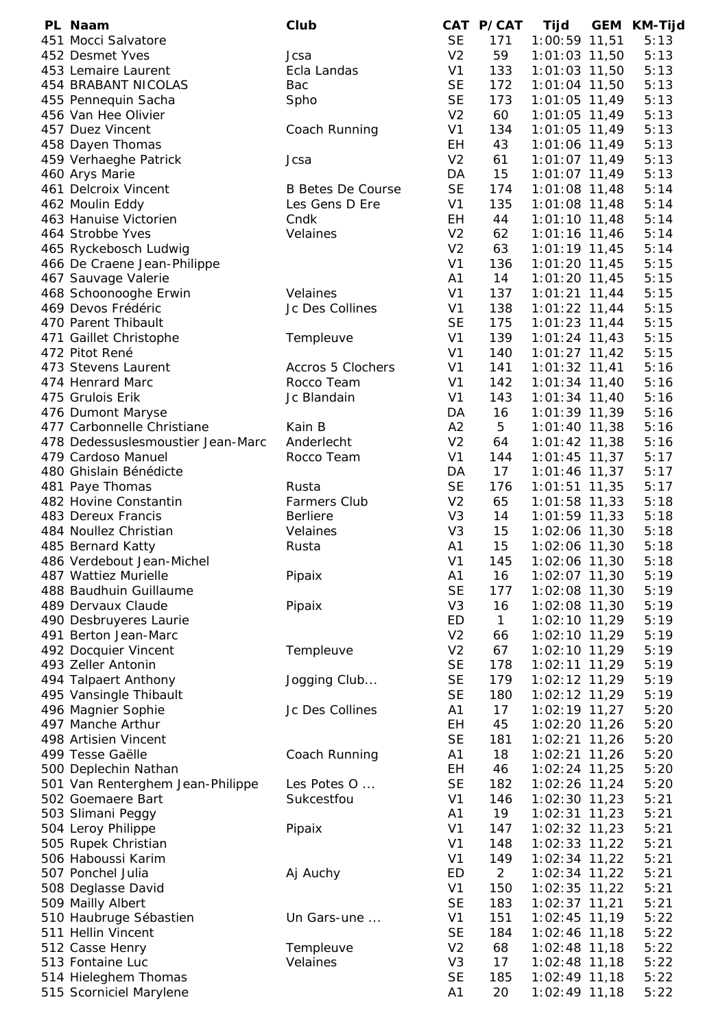| PL Naam                           | Club                     |                 | CAT P/CAT      | Tijd            | GEM | KM-Tijd |
|-----------------------------------|--------------------------|-----------------|----------------|-----------------|-----|---------|
| 451 Mocci Salvatore               |                          | <b>SE</b>       | 171            | 1:00:59 11,51   |     | 5:13    |
| 452 Desmet Yves                   | Jcsa                     | V <sub>2</sub>  | 59             | 1:01:03 11,50   |     | 5:13    |
| 453 Lemaire Laurent               | Ecla Landas              | V <sub>1</sub>  | 133            | 1:01:03 11,50   |     | 5:13    |
| <b>454 BRABANT NICOLAS</b>        | Bac                      | <b>SE</b>       | 172            | 1:01:04 11,50   |     | 5:13    |
| 455 Pennequin Sacha               | Spho                     | <b>SE</b>       | 173            | $1:01:05$ 11,49 |     | 5:13    |
| 456 Van Hee Olivier               |                          | V <sub>2</sub>  | 60             | $1:01:05$ 11,49 |     | 5:13    |
| 457 Duez Vincent                  | Coach Running            | V <sub>1</sub>  | 134            | $1:01:05$ 11,49 |     | 5:13    |
| 458 Dayen Thomas                  |                          | EH              | 43             | 1:01:06 11,49   |     | 5:13    |
| 459 Verhaeghe Patrick             | Jcsa                     | V <sub>2</sub>  | 61             | $1:01:07$ 11,49 |     | 5:13    |
| 460 Arys Marie                    |                          | DA              | 15             | 1:01:07 11,49   |     | 5:13    |
| 461 Delcroix Vincent              | <b>B</b> Betes De Course | <b>SE</b>       | 174            | $1:01:08$ 11,48 |     | 5:14    |
| 462 Moulin Eddy                   | Les Gens D Ere           | V <sub>1</sub>  | 135            | $1:01:08$ 11,48 |     | 5:14    |
| 463 Hanuise Victorien             | Cndk                     | EH              | 44             | $1:01:10$ 11,48 |     | 5:14    |
| 464 Strobbe Yves                  | Velaines                 | V <sub>2</sub>  | 62             | $1:01:16$ 11,46 |     | 5:14    |
| 465 Ryckebosch Ludwig             |                          | V <sub>2</sub>  | 63             | $1:01:19$ 11,45 |     | 5:14    |
| 466 De Craene Jean-Philippe       |                          | V <sub>1</sub>  | 136            | $1:01:20$ 11,45 |     | 5:15    |
|                                   |                          | A <sub>1</sub>  | 14             | $1:01:20$ 11,45 |     | 5:15    |
| 467 Sauvage Valerie               |                          |                 |                |                 |     |         |
| 468 Schoonooghe Erwin             | Velaines                 | V <sub>1</sub>  | 137            | $1:01:21$ 11,44 |     | 5:15    |
| 469 Devos Frédéric                | Jc Des Collines          | V <sub>1</sub>  | 138            | $1:01:22$ 11,44 |     | 5:15    |
| 470 Parent Thibault               |                          | <b>SE</b>       | 175            | $1:01:23$ 11,44 |     | 5:15    |
| 471 Gaillet Christophe            | Templeuve                | V <sub>1</sub>  | 139            | $1:01:24$ 11,43 |     | 5:15    |
| 472 Pitot René                    |                          | V <sub>1</sub>  | 140            | $1:01:27$ 11,42 |     | 5:15    |
| 473 Stevens Laurent               | Accros 5 Clochers        | V <sub>1</sub>  | 141            | $1:01:32$ 11,41 |     | 5:16    |
| 474 Henrard Marc                  | Rocco Team               | V <sub>1</sub>  | 142            | $1:01:34$ 11,40 |     | 5:16    |
| 475 Grulois Erik                  | Jc Blandain              | V <sub>1</sub>  | 143            | $1:01:34$ 11,40 |     | 5:16    |
| 476 Dumont Maryse                 |                          | DA              | 16             | $1:01:39$ 11,39 |     | 5:16    |
| 477 Carbonnelle Christiane        | Kain B                   | A2              | 5              | $1:01:40$ 11,38 |     | 5:16    |
| 478 Dedessuslesmoustier Jean-Marc | Anderlecht               | V <sub>2</sub>  | 64             | $1:01:42$ 11,38 |     | 5:16    |
| 479 Cardoso Manuel                | Rocco Team               | V <sub>1</sub>  | 144            | $1:01:45$ 11,37 |     | 5:17    |
| 480 Ghislain Bénédicte            |                          | DA              | 17             | $1:01:46$ 11,37 |     | 5:17    |
| 481 Paye Thomas                   | Rusta                    | <b>SE</b>       | 176            | $1:01:51$ 11,35 |     | 5:17    |
| 482 Hovine Constantin             | <b>Farmers Club</b>      | V <sub>2</sub>  | 65             | $1:01:58$ 11,33 |     | 5:18    |
| 483 Dereux Francis                | <b>Berliere</b>          | V <sub>3</sub>  | 14             | $1:01:59$ 11,33 |     | 5:18    |
| 484 Noullez Christian             | Velaines                 | V <sub>3</sub>  | 15             | 1:02:06 11,30   |     | 5:18    |
| 485 Bernard Katty                 | Rusta                    | A <sub>1</sub>  | 15             | 1:02:06 11,30   |     | 5:18    |
| 486 Verdebout Jean-Michel         |                          | V <sub>1</sub>  | 145            | 1:02:06 11,30   |     | 5:18    |
| 487 Wattiez Murielle              |                          |                 | 16             |                 |     | 5:19    |
| 488 Baudhuin Guillaume            | Pipaix                   | A1<br><b>SE</b> |                | $1:02:07$ 11,30 |     |         |
|                                   |                          |                 | 177            | 1:02:08 11,30   |     | 5:19    |
| 489 Dervaux Claude                | Pipaix                   | V <sub>3</sub>  | 16             | 1:02:08 11,30   |     | 5:19    |
| 490 Desbruyeres Laurie            |                          | <b>ED</b>       | $\mathbf{1}$   | 1:02:10 11,29   |     | 5:19    |
| 491 Berton Jean-Marc              |                          | V <sub>2</sub>  | 66             | 1:02:10 11,29   |     | 5:19    |
| 492 Docquier Vincent              | Templeuve                | V <sub>2</sub>  | 67             | 1:02:10 11,29   |     | 5:19    |
| 493 Zeller Antonin                |                          | <b>SE</b>       | 178            | 1:02:11 11,29   |     | 5:19    |
| 494 Talpaert Anthony              | Jogging Club             | <b>SE</b>       | 179            | 1:02:12 11,29   |     | 5:19    |
| 495 Vansingle Thibault            |                          | <b>SE</b>       | 180            | 1:02:12 11,29   |     | 5:19    |
| 496 Magnier Sophie                | Jc Des Collines          | A1              | 17             | $1:02:19$ 11,27 |     | 5:20    |
| 497 Manche Arthur                 |                          | EH              | 45             | 1:02:20 11,26   |     | 5:20    |
| 498 Artisien Vincent              |                          | <b>SE</b>       | 181            | $1:02:21$ 11,26 |     | 5:20    |
| 499 Tesse Gaëlle                  | Coach Running            | A <sub>1</sub>  | 18             | $1:02:21$ 11,26 |     | 5:20    |
| 500 Deplechin Nathan              |                          | EH              | 46             | $1:02:24$ 11,25 |     | 5:20    |
| 501 Van Renterghem Jean-Philippe  | Les Potes O              | <b>SE</b>       | 182            | 1:02:26 11,24   |     | 5:20    |
| 502 Goemaere Bart                 | Sukcestfou               | V <sub>1</sub>  | 146            | 1:02:30 11,23   |     | 5:21    |
| 503 Slimani Peggy                 |                          | A1              | 19             | $1:02:31$ 11,23 |     | 5:21    |
| 504 Leroy Philippe                | Pipaix                   | V <sub>1</sub>  | 147            | $1:02:32$ 11,23 |     | 5:21    |
| 505 Rupek Christian               |                          | V <sub>1</sub>  | 148            | $1:02:33$ 11,22 |     | 5:21    |
| 506 Haboussi Karim                |                          | V <sub>1</sub>  | 149            | $1:02:34$ 11,22 |     | 5:21    |
| 507 Ponchel Julia                 | Aj Auchy                 | ED              | $\overline{2}$ | $1:02:34$ 11,22 |     | 5:21    |
| 508 Deglasse David                |                          | V <sub>1</sub>  | 150            | 1:02:35 11,22   |     | 5:21    |
| 509 Mailly Albert                 |                          | <b>SE</b>       | 183            | $1:02:37$ 11,21 |     | 5:21    |
| 510 Haubruge Sébastien            | Un Gars-une              | V <sub>1</sub>  | 151            | $1:02:45$ 11,19 |     | 5:22    |
| 511 Hellin Vincent                |                          | <b>SE</b>       | 184            | $1:02:46$ 11,18 |     | 5:22    |
| 512 Casse Henry                   | Templeuve                | V <sub>2</sub>  | 68             | $1:02:48$ 11,18 |     | 5:22    |
|                                   |                          |                 | 17             |                 |     |         |
| 513 Fontaine Luc                  | Velaines                 | V <sub>3</sub>  |                | $1:02:48$ 11,18 |     | 5:22    |
| 514 Hieleghem Thomas              |                          | <b>SE</b>       | 185            | $1:02:49$ 11,18 |     | 5:22    |
| 515 Scorniciel Marylene           |                          | A1              | 20             | 1:02:49 11,18   |     | 5:22    |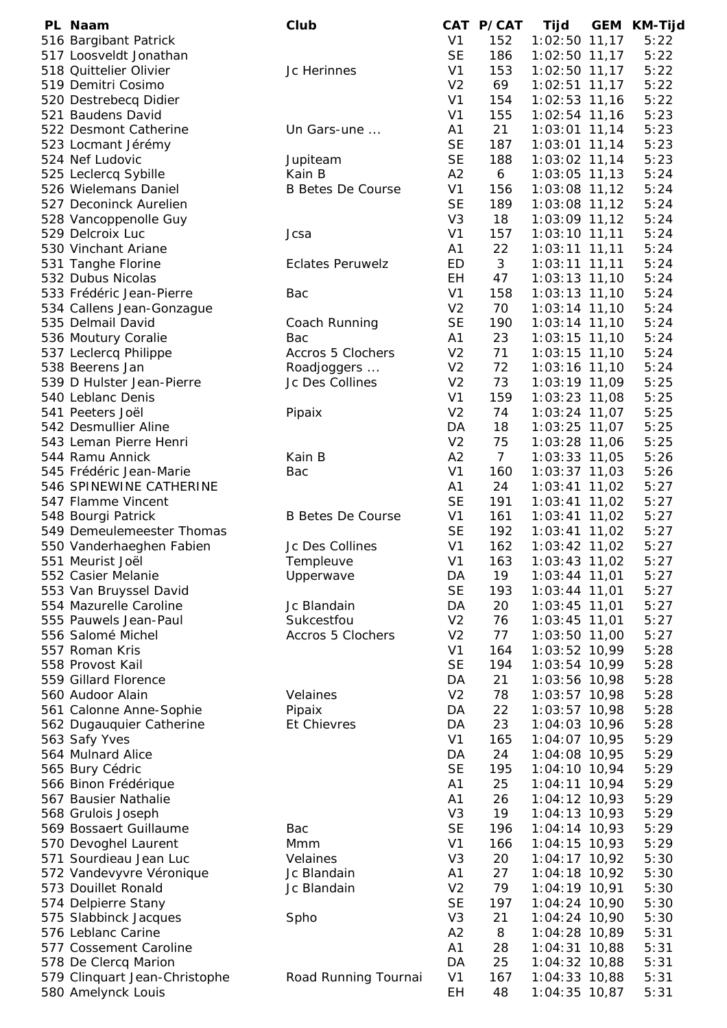| PL Naam                       | Club                     |                | CAT P/CAT      | Tijd            | GEM | KM-Tijd |
|-------------------------------|--------------------------|----------------|----------------|-----------------|-----|---------|
| 516 Bargibant Patrick         |                          | V <sub>1</sub> | 152            | 1:02:50 11,17   |     | 5:22    |
| 517 Loosveldt Jonathan        |                          | <b>SE</b>      | 186            | $1:02:50$ 11,17 |     | 5:22    |
| 518 Quittelier Olivier        | Jc Herinnes              | V <sub>1</sub> | 153            | 1:02:50 11,17   |     | 5:22    |
| 519 Demitri Cosimo            |                          | V <sub>2</sub> | 69             | $1:02:51$ 11,17 |     | 5:22    |
| 520 Destrebecq Didier         |                          | V <sub>1</sub> | 154            | 1:02:53 11,16   |     | 5:22    |
| 521 Baudens David             |                          | V <sub>1</sub> | 155            | 1:02:54 11,16   |     | 5:23    |
| 522 Desmont Catherine         | Un Gars-une              | A1             | 21             | 1:03:01 11,14   |     | 5:23    |
|                               |                          | <b>SE</b>      |                |                 |     | 5:23    |
| 523 Locmant Jérémy            |                          |                | 187            | $1:03:01$ 11,14 |     |         |
| 524 Nef Ludovic               | Jupiteam                 | <b>SE</b>      | 188            | 1:03:02 11,14   |     | 5:23    |
| 525 Leclercq Sybille          | Kain B                   | A2             | 6              | 1:03:05 11,13   |     | 5:24    |
| 526 Wielemans Daniel          | <b>B Betes De Course</b> | V <sub>1</sub> | 156            | 1:03:08 11,12   |     | 5:24    |
| 527 Deconinck Aurelien        |                          | <b>SE</b>      | 189            | 1:03:08 11,12   |     | 5:24    |
| 528 Vancoppenolle Guy         |                          | V <sub>3</sub> | 18             | 1:03:09 11,12   |     | 5:24    |
| 529 Delcroix Luc              | Jcsa                     | V <sub>1</sub> | 157            | 1:03:10 11,11   |     | 5:24    |
| 530 Vinchant Ariane           |                          | A <sub>1</sub> | 22             | $1:03:11$ 11,11 |     | 5:24    |
| 531 Tanghe Florine            | <b>Eclates Peruwelz</b>  | ED             | $\mathfrak{Z}$ | $1:03:11$ 11,11 |     | 5:24    |
| 532 Dubus Nicolas             |                          | EH.            | 47             | $1:03:13$ 11,10 |     | 5:24    |
| 533 Frédéric Jean-Pierre      | Bac                      | V <sub>1</sub> | 158            | $1:03:13$ 11,10 |     | 5:24    |
| 534 Callens Jean-Gonzague     |                          | V <sub>2</sub> | 70             | $1:03:14$ 11,10 |     | 5:24    |
| 535 Delmail David             | Coach Running            | <b>SE</b>      | 190            | 1:03:14 11,10   |     | 5:24    |
|                               | Bac                      | A1             | 23             |                 |     | 5:24    |
| 536 Moutury Coralie           |                          |                |                | $1:03:15$ 11,10 |     |         |
| 537 Leclercq Philippe         | Accros 5 Clochers        | V <sub>2</sub> | 71             | 1:03:15 11,10   |     | 5:24    |
| 538 Beerens Jan               | Roadjoggers              | V <sub>2</sub> | 72             | 1:03:16 11,10   |     | 5:24    |
| 539 D Hulster Jean-Pierre     | Jc Des Collines          | V <sub>2</sub> | 73             | 1:03:19 11,09   |     | 5:25    |
| 540 Leblanc Denis             |                          | V <sub>1</sub> | 159            | 1:03:23 11,08   |     | 5:25    |
| 541 Peeters Joël              | Pipaix                   | V <sub>2</sub> | 74             | $1:03:24$ 11,07 |     | 5:25    |
| 542 Desmullier Aline          |                          | DA             | 18             | 1:03:25 11,07   |     | 5:25    |
| 543 Leman Pierre Henri        |                          | V <sub>2</sub> | 75             | 1:03:28 11,06   |     | 5:25    |
| 544 Ramu Annick               | Kain B                   | A2             | $\overline{7}$ | $1:03:33$ 11,05 |     | 5:26    |
| 545 Frédéric Jean-Marie       | Bac                      | V <sub>1</sub> | 160            | 1:03:37 11,03   |     | 5:26    |
| 546 SPINEWINE CATHERINE       |                          | A <sub>1</sub> | 24             | $1:03:41$ 11,02 |     | 5:27    |
| 547 Flamme Vincent            |                          | <b>SE</b>      | 191            | 1:03:41 11,02   |     | 5:27    |
| 548 Bourgi Patrick            | <b>B Betes De Course</b> | V <sub>1</sub> | 161            | $1:03:41$ 11,02 |     | 5:27    |
| 549 Demeulemeester Thomas     |                          | <b>SE</b>      |                |                 |     |         |
|                               |                          |                | 192            | 1:03:41 11,02   |     | 5:27    |
| 550 Vanderhaeghen Fabien      | Jc Des Collines          | V <sub>1</sub> | 162            | $1:03:42$ 11,02 |     | 5:27    |
| 551 Meurist Joël              | Templeuve                | V <sub>1</sub> | 163            | $1:03:43$ 11,02 |     | 5:27    |
| 552 Casier Melanie            | Upperwave                | DA             | 19             | $1:03:44$ 11,01 |     | 5:27    |
| 553 Van Bruyssel David        |                          | <b>SE</b>      | 193            | 1:03:44 11,01   |     | 5:27    |
| 554 Mazurelle Caroline        | Jc Blandain              | DA             | 20             | $1:03:45$ 11,01 |     | 5:27    |
| 555 Pauwels Jean-Paul         | Sukcestfou               | V <sub>2</sub> | 76             | $1:03:45$ 11,01 |     | 5:27    |
| 556 Salomé Michel             | <b>Accros 5 Clochers</b> | V <sub>2</sub> | 77             | 1:03:50 11,00   |     | 5:27    |
| 557 Roman Kris                |                          | V <sub>1</sub> | 164            | 1:03:52 10,99   |     | 5:28    |
| 558 Provost Kail              |                          | <b>SE</b>      | 194            | $1:03:54$ 10,99 |     | 5:28    |
| 559 Gillard Florence          |                          | DA             | 21             | 1:03:56 10,98   |     | 5:28    |
| 560 Audoor Alain              | Velaines                 | V <sub>2</sub> | 78             | 1:03:57 10,98   |     | 5:28    |
| 561 Calonne Anne-Sophie       | Pipaix                   | DA             | 22             | 1:03:57 10,98   |     | 5:28    |
| 562 Dugauquier Catherine      | Et Chievres              | DA             | 23             | 1:04:03 10,96   |     | 5:28    |
| 563 Safy Yves                 |                          | V <sub>1</sub> | 165            | 1:04:07 10,95   |     | 5:29    |
|                               |                          |                |                |                 |     |         |
| 564 Mulnard Alice             |                          | DA             | 24             | 1:04:08 10,95   |     | 5:29    |
| 565 Bury Cédric               |                          | <b>SE</b>      | 195            | $1:04:10$ 10,94 |     | 5:29    |
| 566 Binon Frédérique          |                          | A <sub>1</sub> | 25             | 1:04:11 10,94   |     | 5:29    |
| 567 Bausier Nathalie          |                          | A <sub>1</sub> | 26             | $1:04:12$ 10,93 |     | 5:29    |
| 568 Grulois Joseph            |                          | V <sub>3</sub> | 19             | $1:04:13$ 10,93 |     | 5:29    |
| 569 Bossaert Guillaume        | Bac                      | <b>SE</b>      | 196            | 1:04:14 10,93   |     | 5:29    |
| 570 Devoghel Laurent          | Mmm                      | V <sub>1</sub> | 166            | $1:04:15$ 10,93 |     | 5:29    |
| 571 Sourdieau Jean Luc        | Velaines                 | V <sub>3</sub> | 20             | $1:04:17$ 10,92 |     | 5:30    |
| 572 Vandevyvre Véronique      | Jc Blandain              | A <sub>1</sub> | 27             | 1:04:18 10,92   |     | 5:30    |
| 573 Douillet Ronald           | Jc Blandain              | V <sub>2</sub> | 79             | 1:04:19 10,91   |     | 5:30    |
| 574 Delpierre Stany           |                          | <b>SE</b>      | 197            | $1:04:24$ 10,90 |     | 5:30    |
| 575 Slabbinck Jacques         | Spho                     | V <sub>3</sub> | 21             | $1:04:24$ 10,90 |     | 5:30    |
| 576 Leblanc Carine            |                          | A2             | 8              | 1:04:28 10,89   |     | 5:31    |
| 577 Cossement Caroline        |                          | A1             | 28             | $1:04:31$ 10,88 |     | 5:31    |
|                               |                          |                |                | 1:04:32 10,88   |     |         |
| 578 De Clercq Marion          |                          | DA             | 25             |                 |     | 5:31    |
| 579 Clinquart Jean-Christophe | Road Running Tournai     | V <sub>1</sub> | 167            | 1:04:33 10,88   |     | 5:31    |
| 580 Amelynck Louis            |                          | EH             | 48             | 1:04:35 10,87   |     | 5:31    |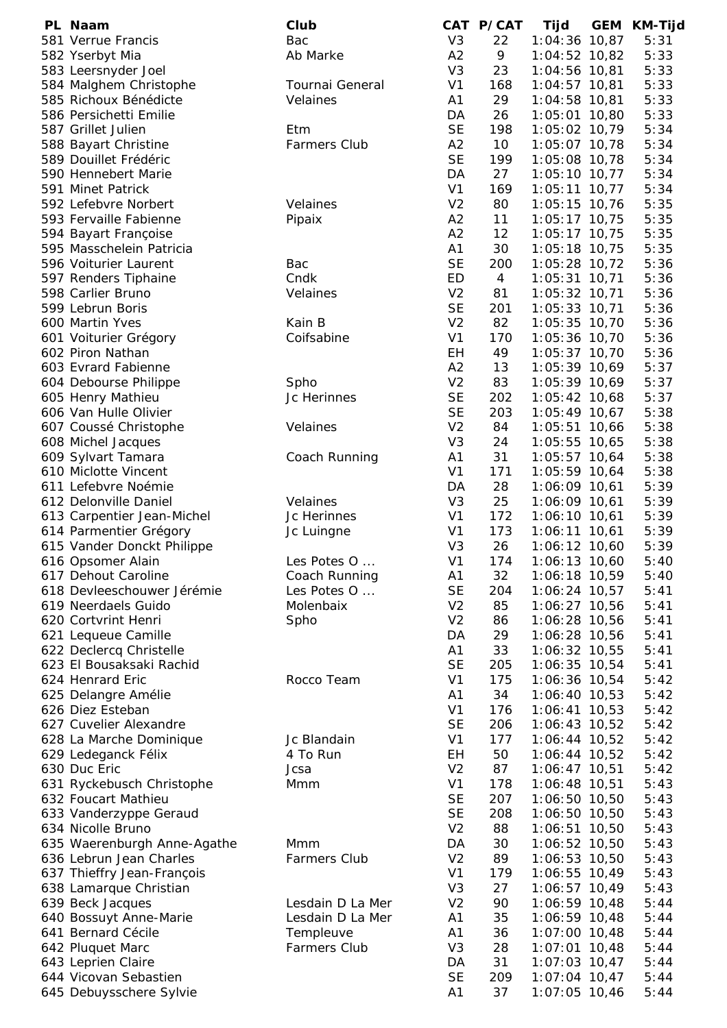| PL Naam                     | Club                |                | CAT P/CAT      | Tijd            | <b>GEM</b> | KM-Tijd |
|-----------------------------|---------------------|----------------|----------------|-----------------|------------|---------|
| 581 Verrue Francis          | Bac                 | V <sub>3</sub> | 22             | 1:04:36 10,87   |            | 5:31    |
| 582 Yserbyt Mia             | Ab Marke            | A2             | 9              | 1:04:52 10,82   |            | 5:33    |
| 583 Leersnyder Joel         |                     | V <sub>3</sub> | 23             | 1:04:56 10,81   |            | 5:33    |
| 584 Malghem Christophe      | Tournai General     | V <sub>1</sub> | 168            | $1:04:57$ 10,81 |            | 5:33    |
| 585 Richoux Bénédicte       | Velaines            | A1             | 29             | 1:04:58 10,81   |            | 5:33    |
| 586 Persichetti Emilie      |                     | DA             | 26             | 1:05:01 10,80   |            | 5:33    |
| 587 Grillet Julien          | Etm                 | <b>SE</b>      | 198            | 1:05:02 10,79   |            | 5:34    |
| 588 Bayart Christine        | <b>Farmers Club</b> | A2             | 10             | 1:05:07 10,78   |            | 5:34    |
| 589 Douillet Frédéric       |                     | <b>SE</b>      | 199            | 1:05:08 10,78   |            | 5:34    |
| 590 Hennebert Marie         |                     | DA             | 27             | $1:05:10$ 10,77 |            | 5:34    |
| 591 Minet Patrick           |                     | V <sub>1</sub> | 169            | $1:05:11$ 10,77 |            | 5:34    |
| 592 Lefebvre Norbert        | Velaines            | V <sub>2</sub> | 80             |                 |            | 5:35    |
| 593 Fervaille Fabienne      |                     | A2             |                | $1:05:15$ 10,76 |            |         |
|                             | Pipaix              |                | 11             | $1:05:17$ 10,75 |            | 5:35    |
| 594 Bayart Françoise        |                     | A2             | 12             | 1:05:17 10,75   |            | 5:35    |
| 595 Masschelein Patricia    |                     | A1             | 30             | 1:05:18 10,75   |            | 5:35    |
| 596 Voiturier Laurent       | Bac                 | <b>SE</b>      | 200            | 1:05:28 10,72   |            | 5:36    |
| 597 Renders Tiphaine        | Cndk                | ED             | $\overline{4}$ | $1:05:31$ 10,71 |            | 5:36    |
| 598 Carlier Bruno           | Velaines            | V <sub>2</sub> | 81             | 1:05:32 10,71   |            | 5:36    |
| 599 Lebrun Boris            |                     | <b>SE</b>      | 201            | $1:05:33$ 10,71 |            | 5:36    |
| 600 Martin Yves             | Kain B              | V <sub>2</sub> | 82             | 1:05:35 10,70   |            | 5:36    |
| 601 Voiturier Grégory       | Coifsabine          | V <sub>1</sub> | 170            | 1:05:36 10,70   |            | 5:36    |
| 602 Piron Nathan            |                     | EH             | 49             | 1:05:37 10,70   |            | 5:36    |
| 603 Evrard Fabienne         |                     | A2             | 13             | 1:05:39 10,69   |            | 5:37    |
| 604 Debourse Philippe       | Spho                | V <sub>2</sub> | 83             | 1:05:39 10,69   |            | 5:37    |
| 605 Henry Mathieu           | Jc Herinnes         | <b>SE</b>      | 202            | $1:05:42$ 10,68 |            | 5:37    |
| 606 Van Hulle Olivier       |                     | <b>SE</b>      | 203            | $1:05:49$ 10,67 |            | 5:38    |
| 607 Coussé Christophe       | Velaines            | V <sub>2</sub> | 84             | 1:05:51 10,66   |            | 5:38    |
| 608 Michel Jacques          |                     | V <sub>3</sub> | 24             | 1:05:55 10,65   |            | 5:38    |
| 609 Sylvart Tamara          | Coach Running       | A1             | 31             | $1:05:57$ 10,64 |            | 5:38    |
| 610 Miclotte Vincent        |                     | V <sub>1</sub> | 171            | 1:05:59 10,64   |            | 5:38    |
| 611 Lefebvre Noémie         |                     | DA             | 28             | 1:06:09 10,61   |            | 5:39    |
| 612 Delonville Daniel       | Velaines            | V <sub>3</sub> | 25             | 1:06:09 10,61   |            | 5:39    |
| 613 Carpentier Jean-Michel  | Jc Herinnes         | V <sub>1</sub> | 172            | 1:06:10 10,61   |            | 5:39    |
| 614 Parmentier Grégory      | Jc Luingne          | V <sub>1</sub> | 173            | 1:06:11 10,61   |            | 5:39    |
| 615 Vander Donckt Philippe  |                     | V <sub>3</sub> | 26             | 1:06:12 10,60   |            | 5:39    |
| 616 Opsomer Alain           | Les Potes O         | V <sub>1</sub> | 174            | $1:06:13$ 10,60 |            | 5:40    |
| 617 Dehout Caroline         | Coach Running       | A <sub>1</sub> | 32             | 1:06:18 10,59   |            | 5:40    |
| 618 Devleeschouwer Jérémie  | Les Potes O         | <b>SE</b>      | 204            | $1:06:24$ 10,57 |            | 5:41    |
| 619 Neerdaels Guido         | Molenbaix           | V <sub>2</sub> | 85             | 1:06:27 10,56   |            | 5:41    |
| 620 Cortvrint Henri         | Spho                | V <sub>2</sub> | 86             | 1:06:28 10,56   |            | 5:41    |
| 621 Lequeue Camille         |                     | DA             | 29             | 1:06:28 10,56   |            | 5:41    |
| 622 Declercq Christelle     |                     | A1             | 33             | 1:06:32 10,55   |            | 5:41    |
| 623 El Bousaksaki Rachid    |                     | <b>SE</b>      | 205            | 1:06:35 10,54   |            | 5:41    |
| 624 Henrard Eric            | Rocco Team          | V <sub>1</sub> | 175            | 1:06:36 10,54   |            | 5:42    |
| 625 Delangre Amélie         |                     | A <sub>1</sub> | 34             | $1:06:40$ 10,53 |            | 5:42    |
| 626 Diez Esteban            |                     | V <sub>1</sub> | 176            | $1:06:41$ 10,53 |            | 5:42    |
|                             |                     |                |                |                 |            |         |
| 627 Cuvelier Alexandre      |                     | <b>SE</b>      | 206            | 1:06:43 10,52   |            | 5:42    |
| 628 La Marche Dominique     | Jc Blandain         | V <sub>1</sub> | 177            | 1:06:44 10,52   |            | 5:42    |
| 629 Ledeganck Félix         | 4 To Run            | EH             | 50             | $1:06:44$ 10,52 |            | 5:42    |
| 630 Duc Eric                | Jcsa                | V <sub>2</sub> | 87             | 1:06:47 10,51   |            | 5:42    |
| 631 Ryckebusch Christophe   | Mmm                 | V <sub>1</sub> | 178            | 1:06:48 10,51   |            | 5:43    |
| 632 Foucart Mathieu         |                     | <b>SE</b>      | 207            | 1:06:50 10,50   |            | 5:43    |
| 633 Vanderzyppe Geraud      |                     | <b>SE</b>      | 208            | 1:06:50 10,50   |            | 5:43    |
| 634 Nicolle Bruno           |                     | V <sub>2</sub> | 88             | $1:06:51$ 10,50 |            | 5:43    |
| 635 Waerenburgh Anne-Agathe | Mmm                 | DA             | 30             | 1:06:52 10,50   |            | 5:43    |
| 636 Lebrun Jean Charles     | <b>Farmers Club</b> | V <sub>2</sub> | 89             | 1:06:53 10,50   |            | 5:43    |
| 637 Thieffry Jean-François  |                     | V <sub>1</sub> | 179            | 1:06:55 10,49   |            | 5:43    |
| 638 Lamarque Christian      |                     | V <sub>3</sub> | 27             | $1:06:57$ 10,49 |            | 5:43    |
| 639 Beck Jacques            | Lesdain D La Mer    | V <sub>2</sub> | 90             | $1:06:59$ 10,48 |            | 5:44    |
| 640 Bossuyt Anne-Marie      | Lesdain D La Mer    | A <sub>1</sub> | 35             | $1:06:59$ 10,48 |            | 5:44    |
| 641 Bernard Cécile          | Templeuve           | A <sub>1</sub> | 36             | $1:07:00$ 10,48 |            | 5:44    |
| 642 Pluquet Marc            | <b>Farmers Club</b> | V <sub>3</sub> | 28             | $1:07:01$ 10,48 |            | 5:44    |
| 643 Leprien Claire          |                     | DA             | 31             | $1:07:03$ 10,47 |            | 5:44    |
| 644 Vicovan Sebastien       |                     | <b>SE</b>      | 209            | $1:07:04$ 10,47 |            | 5:44    |
| 645 Debuysschere Sylvie     |                     | A1             | 37             | 1:07:05 10,46   |            | 5:44    |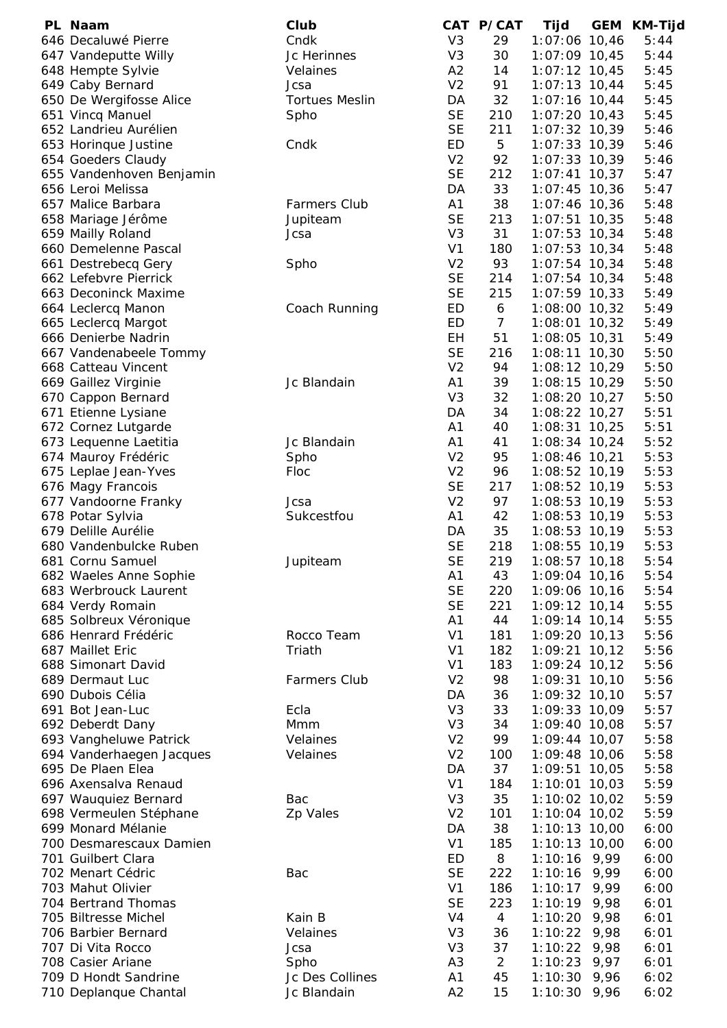| PL Naam                  | Club                  |                | CAT P/CAT      | Tijd            | <b>GEM</b> | <b>KM-Tijd</b> |
|--------------------------|-----------------------|----------------|----------------|-----------------|------------|----------------|
| 646 Decaluwé Pierre      | Cndk                  | V <sub>3</sub> | 29             | 1:07:06 10,46   |            | 5:44           |
| 647 Vandeputte Willy     | Jc Herinnes           | V <sub>3</sub> | 30             | 1:07:09 10,45   |            | 5:44           |
| 648 Hempte Sylvie        | Velaines              | A2             | 14             | 1:07:12 10,45   |            | 5:45           |
| 649 Caby Bernard         | Jcsa                  | V <sub>2</sub> | 91             | $1:07:13$ 10,44 |            | 5:45           |
| 650 De Wergifosse Alice  | <b>Tortues Meslin</b> | DA             | 32             | 1:07:16 10,44   |            | 5:45           |
| 651 Vincq Manuel         | Spho                  | <b>SE</b>      | 210            | $1:07:20$ 10,43 |            | 5:45           |
| 652 Landrieu Aurélien    |                       | <b>SE</b>      | 211            | 1:07:32 10,39   |            | 5:46           |
| 653 Horinque Justine     | Cndk                  | ED             | 5              | $1:07:33$ 10,39 |            | 5:46           |
| 654 Goeders Claudy       |                       | V <sub>2</sub> | 92             | $1:07:33$ 10,39 |            | 5:46           |
| 655 Vandenhoven Benjamin |                       | <b>SE</b>      | 212            | $1:07:41$ 10,37 |            | 5:47           |
| 656 Leroi Melissa        |                       | DA             | 33             | $1:07:45$ 10,36 |            | 5:47           |
| 657 Malice Barbara       | <b>Farmers Club</b>   | A1             | 38             | $1:07:46$ 10,36 |            | 5:48           |
| 658 Mariage Jérôme       | Jupiteam              | <b>SE</b>      | 213            | $1:07:51$ 10,35 |            | 5:48           |
| 659 Mailly Roland        | Jcsa                  | V <sub>3</sub> | 31             | $1:07:53$ 10,34 |            | 5:48           |
| 660 Demelenne Pascal     |                       | V <sub>1</sub> |                |                 |            |                |
|                          |                       |                | 180            | $1:07:53$ 10,34 |            | 5:48           |
| 661 Destrebecq Gery      | Spho                  | V <sub>2</sub> | 93             | $1:07:54$ 10,34 |            | 5:48           |
| 662 Lefebvre Pierrick    |                       | <b>SE</b>      | 214            | $1:07:54$ 10,34 |            | 5:48           |
| 663 Deconinck Maxime     |                       | <b>SE</b>      | 215            | $1:07:59$ 10,33 |            | 5:49           |
| 664 Leclercq Manon       | Coach Running         | ED             | 6              | $1:08:00$ 10,32 |            | 5:49           |
| 665 Leclercq Margot      |                       | ED             | $\overline{7}$ | $1:08:01$ 10,32 |            | 5:49           |
| 666 Denierbe Nadrin      |                       | <b>EH</b>      | 51             | 1:08:05 10,31   |            | 5:49           |
| 667 Vandenabeele Tommy   |                       | <b>SE</b>      | 216            | $1:08:11$ 10,30 |            | 5:50           |
| 668 Catteau Vincent      |                       | V <sub>2</sub> | 94             | 1:08:12 10,29   |            | 5:50           |
| 669 Gaillez Virginie     | Jc Blandain           | A <sub>1</sub> | 39             | 1:08:15 10,29   |            | 5:50           |
| 670 Cappon Bernard       |                       | V <sub>3</sub> | 32             | 1:08:20 10,27   |            | 5:50           |
| 671 Etienne Lysiane      |                       | DA             | 34             | $1:08:22$ 10,27 |            | 5:51           |
| 672 Cornez Lutgarde      |                       | A <sub>1</sub> | 40             | $1:08:31$ 10,25 |            | 5:51           |
| 673 Lequenne Laetitia    | Jc Blandain           | A1             | 41             | $1:08:34$ 10,24 |            | 5:52           |
| 674 Mauroy Frédéric      | Spho                  | V <sub>2</sub> | 95             | $1:08:46$ 10,21 |            | 5:53           |
| 675 Leplae Jean-Yves     | Floc                  | V <sub>2</sub> | 96             | 1:08:52 10,19   |            | 5:53           |
| 676 Magy Francois        |                       | <b>SE</b>      | 217            | $1:08:52$ 10,19 |            | 5:53           |
| 677 Vandoorne Franky     | Jcsa                  | V <sub>2</sub> | 97             | $1:08:53$ 10,19 |            | 5:53           |
|                          | Sukcestfou            |                | 42             |                 |            |                |
| 678 Potar Sylvia         |                       | A <sub>1</sub> |                | 1:08:53 10,19   |            | 5:53           |
| 679 Delille Aurélie      |                       | DA             | 35             | 1:08:53 10,19   |            | 5:53           |
| 680 Vandenbulcke Ruben   |                       | <b>SE</b>      | 218            | 1:08:55 10,19   |            | 5:53           |
| 681 Cornu Samuel         | Jupiteam              | <b>SE</b>      | 219            | $1:08:57$ 10,18 |            | 5:54           |
| 682 Waeles Anne Sophie   |                       | A <sub>1</sub> | 43             | 1:09:04 10,16   |            | 5:54           |
| 683 Werbrouck Laurent    |                       | <b>SE</b>      | 220            | 1:09:06 10,16   |            | 5:54           |
| 684 Verdy Romain         |                       | <b>SE</b>      | 221            | 1:09:12 10,14   |            | 5:55           |
| 685 Solbreux Véronique   |                       | A <sub>1</sub> | 44             | 1:09:14 10,14   |            | 5:55           |
| 686 Henrard Frédéric     | Rocco Team            | V <sub>1</sub> | 181            | 1:09:20 10,13   |            | 5:56           |
| 687 Maillet Eric         | Triath                | V <sub>1</sub> | 182            | $1:09:21$ 10,12 |            | 5:56           |
| 688 Simonart David       |                       | V <sub>1</sub> | 183            | $1:09:24$ 10,12 |            | 5:56           |
| 689 Dermaut Luc          | <b>Farmers Club</b>   | V <sub>2</sub> | 98             | $1:09:31$ 10,10 |            | 5:56           |
| 690 Dubois Célia         |                       | DA             | 36             | $1:09:32$ 10,10 |            | 5:57           |
| 691 Bot Jean-Luc         | Ecla                  | V <sub>3</sub> | 33             | 1:09:33 10,09   |            | 5:57           |
| 692 Deberdt Dany         | Mmm                   | V <sub>3</sub> | 34             | $1:09:40$ 10,08 |            | 5:57           |
| 693 Vangheluwe Patrick   | Velaines              | V <sub>2</sub> | 99             | $1:09:44$ 10,07 |            | 5:58           |
| 694 Vanderhaegen Jacques | Velaines              | V <sub>2</sub> | 100            | 1:09:48 10,06   |            | 5:58           |
| 695 De Plaen Elea        |                       | DA             | 37             | 1:09:51 10,05   |            | 5:58           |
| 696 Axensalva Renaud     |                       | V <sub>1</sub> | 184            | $1:10:01$ 10,03 |            | 5:59           |
| 697 Wauquiez Bernard     | Bac                   | V <sub>3</sub> | 35             | 1:10:02 10,02   |            | 5:59           |
| 698 Vermeulen Stéphane   | Zp Vales              | V <sub>2</sub> | 101            | $1:10:04$ 10,02 |            | 5:59           |
| 699 Monard Mélanie       |                       | DA             | 38             |                 |            |                |
|                          |                       |                |                | $1:10:13$ 10,00 |            | 6:00           |
| 700 Desmarescaux Damien  |                       | V <sub>1</sub> | 185            | $1:10:13$ 10,00 |            | 6:00           |
| 701 Guilbert Clara       |                       | ED             | 8              | $1:10:16$ 9,99  |            | 6:00           |
| 702 Menart Cédric        | Bac                   | <b>SE</b>      | 222            | 1:10:16         | 9,99       | 6:00           |
| 703 Mahut Olivier        |                       | V <sub>1</sub> | 186            | 1:10:17         | 9,99       | 6:00           |
| 704 Bertrand Thomas      |                       | <b>SE</b>      | 223            | $1:10:19$ 9,98  |            | 6:01           |
| 705 Biltresse Michel     | Kain B                | V <sub>4</sub> | $\overline{4}$ | 1:10:20         | 9,98       | 6:01           |
| 706 Barbier Bernard      | Velaines              | V <sub>3</sub> | 36             | $1:10:22$ 9,98  |            | 6:01           |
| 707 Di Vita Rocco        | Jcsa                  | V <sub>3</sub> | 37             | 1:10:22         | 9,98       | 6:01           |
| 708 Casier Ariane        | Spho                  | A <sub>3</sub> | $\overline{2}$ | 1:10:23         | 9,97       | 6:01           |
| 709 D Hondt Sandrine     | Jc Des Collines       | A <sub>1</sub> | 45             | $1:10:30$ 9,96  |            | 6:02           |
| 710 Deplanque Chantal    | Jc Blandain           | A2             | 15             | $1:10:30$ 9,96  |            | 6:02           |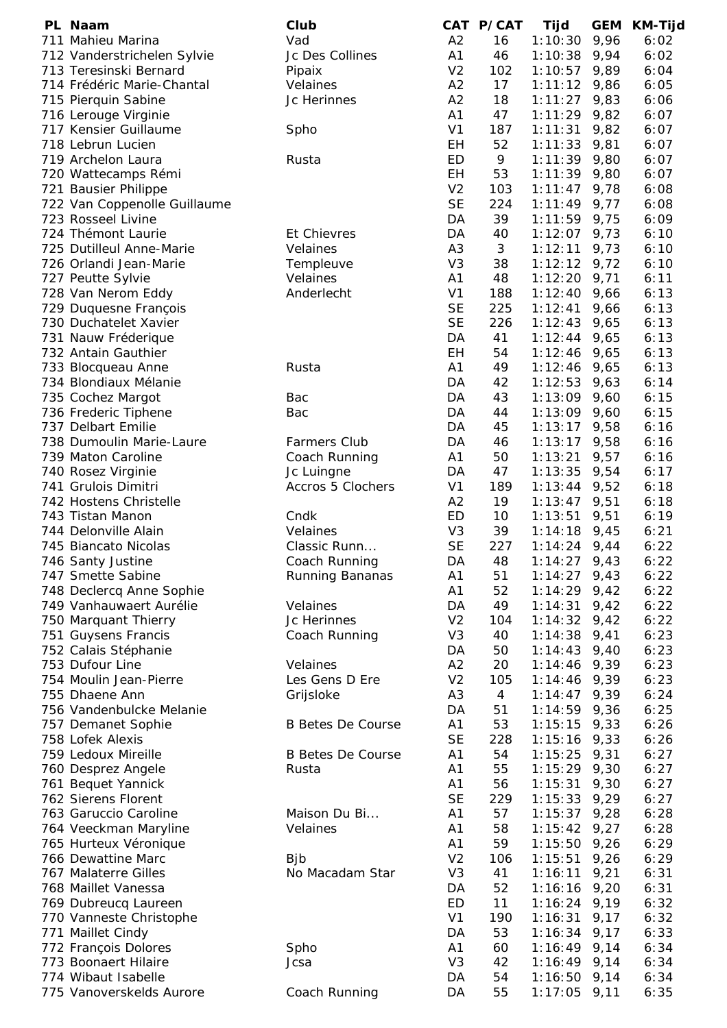| PL Naam                      | Club                     |                | CAT P/CAT      | Tijd           | <b>GEM</b> | KM-Tijd |
|------------------------------|--------------------------|----------------|----------------|----------------|------------|---------|
| 711 Mahieu Marina            | Vad                      | A2             | 16             | 1:10:30        | 9,96       | 6:02    |
| 712 Vanderstrichelen Sylvie  | Jc Des Collines          | A1             | 46             | 1:10:38        | 9,94       | 6:02    |
| 713 Teresinski Bernard       | Pipaix                   | V <sub>2</sub> | 102            | 1:10:57        | 9,89       | 6:04    |
| 714 Frédéric Marie-Chantal   | Velaines                 | A2             | 17             | 1:11:12        | 9,86       | 6:05    |
| 715 Pierquin Sabine          | Jc Herinnes              | A2             | 18             | 1:11:27        | 9,83       | 6:06    |
| 716 Lerouge Virginie         |                          | A1             | 47             | $1:11:29$ 9,82 |            | 6:07    |
| 717 Kensier Guillaume        |                          | V <sub>1</sub> | 187            | 1:11:31        | 9,82       | 6:07    |
|                              | Spho                     |                |                |                |            |         |
| 718 Lebrun Lucien            |                          | EH             | 52             | 1:11:33        | 9,81       | 6:07    |
| 719 Archelon Laura           | Rusta                    | <b>ED</b>      | 9              | $1:11:39$ 9,80 |            | 6:07    |
| 720 Wattecamps Rémi          |                          | EH             | 53             | $1:11:39$ 9,80 |            | 6:07    |
| 721 Bausier Philippe         |                          | V <sub>2</sub> | 103            | 1:11:47        | 9,78       | 6:08    |
| 722 Van Coppenolle Guillaume |                          | <b>SE</b>      | 224            | 1:11:49        | 9,77       | 6:08    |
| 723 Rosseel Livine           |                          | DA             | 39             | 1:11:59        | 9,75       | 6:09    |
| 724 Thémont Laurie           | <b>Et Chievres</b>       | DA             | 40             | 1:12:07        | 9,73       | 6:10    |
| 725 Dutilleul Anne-Marie     | Velaines                 | A <sub>3</sub> | 3              | 1:12:11        | 9,73       | 6:10    |
| 726 Orlandi Jean-Marie       | Templeuve                | V <sub>3</sub> | 38             | 1:12:12        | 9,72       | 6:10    |
| 727 Peutte Sylvie            | Velaines                 | A <sub>1</sub> | 48             | 1:12:20        | 9,71       | 6:11    |
|                              |                          | V <sub>1</sub> |                |                |            |         |
| 728 Van Nerom Eddy           | Anderlecht               |                | 188            | 1:12:40        | 9,66       | 6:13    |
| 729 Duquesne François        |                          | <b>SE</b>      | 225            | 1:12:41        | 9,66       | 6:13    |
| 730 Duchatelet Xavier        |                          | <b>SE</b>      | 226            | 1:12:43        | 9,65       | 6:13    |
| 731 Nauw Fréderique          |                          | DA             | 41             | 1:12:44        | 9,65       | 6:13    |
| 732 Antain Gauthier          |                          | EH             | 54             | 1:12:46        | 9,65       | 6:13    |
| 733 Blocqueau Anne           | Rusta                    | A <sub>1</sub> | 49             | 1:12:46        | 9,65       | 6:13    |
| 734 Blondiaux Mélanie        |                          | DA             | 42             | 1:12:53        | 9,63       | 6:14    |
| 735 Cochez Margot            | Bac                      | DA             | 43             | 1:13:09        | 9,60       | 6:15    |
| 736 Frederic Tiphene         | Bac                      | DA             | 44             | 1:13:09        | 9,60       | 6:15    |
| 737 Delbart Emilie           |                          | DA             | 45             |                |            | 6:16    |
|                              |                          |                |                | 1:13:17        | 9,58       |         |
| 738 Dumoulin Marie-Laure     | <b>Farmers Club</b>      | DA             | 46             | 1:13:17        | 9,58       | 6:16    |
| 739 Maton Caroline           | Coach Running            | A1             | 50             | 1:13:21        | 9,57       | 6:16    |
| 740 Rosez Virginie           | Jc Luingne               | DA             | 47             | 1:13:35        | 9,54       | 6:17    |
| 741 Grulois Dimitri          | Accros 5 Clochers        | V <sub>1</sub> | 189            | 1:13:44        | 9,52       | 6:18    |
| 742 Hostens Christelle       |                          | A2             | 19             | 1:13:47        | 9,51       | 6:18    |
| 743 Tistan Manon             | Cndk                     | ED             | 10             | 1:13:51        | 9,51       | 6:19    |
| 744 Delonville Alain         | Velaines                 | V <sub>3</sub> | 39             | $1:14:18$ 9,45 |            | 6:21    |
| 745 Biancato Nicolas         | Classic Runn             | <b>SE</b>      | 227            | $1:14:24$ 9,44 |            | 6:22    |
| 746 Santy Justine            | Coach Running            | DA             | 48             | $1:14:27$ 9,43 |            | 6:22    |
| 747 Smette Sabine            | <b>Running Bananas</b>   | A <sub>1</sub> | 51             | $1:14:27$ 9,43 |            | 6:22    |
|                              |                          |                |                |                |            |         |
| 748 Declercq Anne Sophie     |                          | A1             | 52             | $1:14:29$ 9,42 |            | 6:22    |
| 749 Vanhauwaert Aurélie      | Velaines                 | DA             | 49             | 1:14:31        | 9,42       | 6:22    |
| 750 Marquant Thierry         | Jc Herinnes              | V <sub>2</sub> | 104            | 1:14:32        | 9,42       | 6:22    |
| 751 Guysens Francis          | Coach Running            | V <sub>3</sub> | 40             | 1:14:38        | 9,41       | 6:23    |
| 752 Calais Stéphanie         |                          | DA             | 50             | 1:14:43        | 9,40       | 6:23    |
| 753 Dufour Line              | Velaines                 | A2             | 20             | 1:14:46        | 9,39       | 6:23    |
| 754 Moulin Jean-Pierre       | Les Gens D Ere           | V <sub>2</sub> | 105            | 1:14:46        | 9,39       | 6:23    |
| 755 Dhaene Ann               | Grijsloke                | A <sub>3</sub> | $\overline{4}$ | 1:14:47        | 9,39       | 6:24    |
| 756 Vandenbulcke Melanie     |                          | DA             | 51             | 1:14:59        | 9,36       | 6:25    |
| 757 Demanet Sophie           | <b>B Betes De Course</b> | A <sub>1</sub> | 53             | 1:15:15        | 9,33       | 6:26    |
|                              |                          |                |                |                |            |         |
| 758 Lofek Alexis             |                          | <b>SE</b>      | 228            | 1:15:16        | 9,33       | 6:26    |
| 759 Ledoux Mireille          | <b>B</b> Betes De Course | A <sub>1</sub> | 54             | 1:15:25        | 9,31       | 6:27    |
| 760 Desprez Angele           | Rusta                    | A <sub>1</sub> | 55             | 1:15:29        | 9,30       | 6:27    |
| 761 Bequet Yannick           |                          | A <sub>1</sub> | 56             | 1:15:31        | 9,30       | 6:27    |
| 762 Sierens Florent          |                          | <b>SE</b>      | 229            | 1:15:33        | 9,29       | 6:27    |
| 763 Garuccio Caroline        | Maison Du Bi             | A <sub>1</sub> | 57             | 1:15:37        | 9,28       | 6:28    |
| 764 Veeckman Maryline        | Velaines                 | A1             | 58             | 1:15:42        | 9,27       | 6:28    |
| 765 Hurteux Véronique        |                          | A <sub>1</sub> | 59             | 1:15:50        | 9,26       | 6:29    |
| 766 Dewattine Marc           | <b>B</b> jb              | V <sub>2</sub> | 106            | 1:15:51        | 9,26       | 6:29    |
|                              |                          | V <sub>3</sub> |                |                |            |         |
| 767 Malaterre Gilles         | No Macadam Star          |                | 41             | 1:16:11        | 9,21       | 6:31    |
| 768 Maillet Vanessa          |                          | DA             | 52             | 1:16:16        | 9,20       | 6:31    |
| 769 Dubreucq Laureen         |                          | ED             | 11             | 1:16:24        | 9,19       | 6:32    |
| 770 Vanneste Christophe      |                          | V <sub>1</sub> | 190            | 1:16:31        | 9,17       | 6:32    |
| 771 Maillet Cindy            |                          | DA             | 53             | 1:16:34        | 9,17       | 6:33    |
| 772 François Dolores         | Spho                     | A <sub>1</sub> | 60             | $1:16:49$ 9,14 |            | 6:34    |
| 773 Boonaert Hilaire         | Jcsa                     | V <sub>3</sub> | 42             | $1:16:49$ 9,14 |            | 6:34    |
| 774 Wibaut Isabelle          |                          | DA             | 54             | 1:16:50        | 9,14       | 6:34    |
| 775 Vanoverskelds Aurore     | Coach Running            | DA             | 55             | $1:17:05$ 9,11 |            | 6:35    |
|                              |                          |                |                |                |            |         |